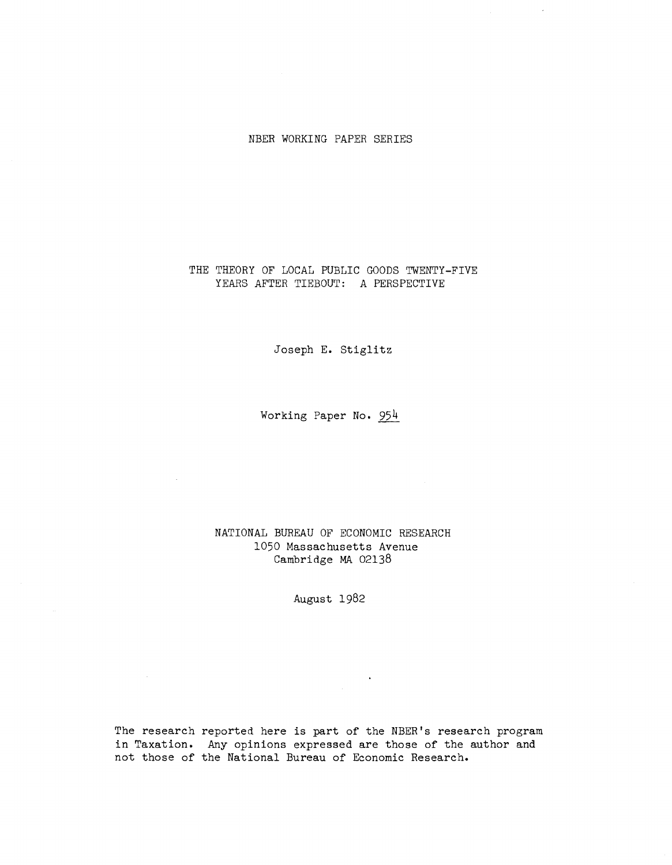## NBER WORKING PAPER SERIES

## THE THEORY OF LOCAL PUBLIC GOODS TWENTY—FIVE YEARS AFTER TIEBOUT: A PERSPECTIVE

Joseph E. Stiglitz

Working Paper No. 954

## NATIONAL BUREAU OF ECONOMIC RESEARCH 1050 Massachusetts Avenue Cambridge MA 02138

August 1982

The research reported here is part of the NBER's research program in Taxation. Any opinions expressed are those of the author and not those of the National Bureau of Economic Research.

 $\frac{1}{2} \left( \frac{1}{2} \right)^2 \frac{1}{2} \left( \frac{1}{2} \right)^2$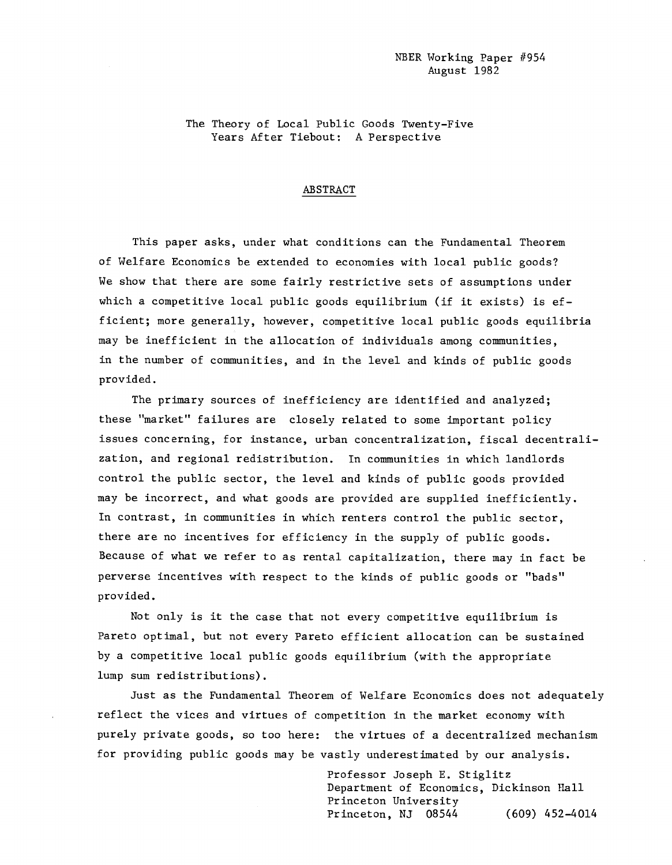The Theory of Local Public Goods Twenty—Five Years After Tiebout: A Perspective

#### ABSTRACT

This paper asks, under what conditions can the Fundamental Theorem of Welfare Economics be extended to economies with local public goods? We show that there are some fairly restrictive sets of assumptions under which a competitive local public goods equilibrium (if it exists) is efficient; more generally, however, competitive local public goods equilibria may be inefficient in the allocation of individuals among communities, in the number of communities, and in the level and kinds of public goods provided.

The primary sources of inefficiency are identified and analyzed; these "market" failures are closely related to some important policy issues concerning, for instance, urban concentralization, fiscal decentralization, and regional redistribution. In communities in which landlords control the public sector, the level and kinds of public goods provided may be incorrect, and what goods are provided are supplied inefficiently. In contrast, in communities in which renters control the public sector, there are no incentives for efficiency in the supply of public goods. Because of what we refer to as rental capitalization, there may in fact be perverse incentives with respect to the kinds of public goods or "bads" provided.

Not only is it the case that not every competitive equilibrium is Pareto optimal, but not every Pareto efficient allocation can be sustained by a competitive local public goods equilibrium (with the appropriate lump sum redistributions).

Just as the Fundamental Theorem of Welfare Economics does not adequately reflect the vices and virtues of competition in the market economy with purely private goods, so too here: the virtues of a decentralized mechanism for providing public goods may be vastly underestimated by our analysis.

> Professor Joseph E. Stiglitz Department of Economics, Dickinson Hall Princeton University<br>Princeton, NJ 08544 (609) 452-4014 Princeton, NJ 08544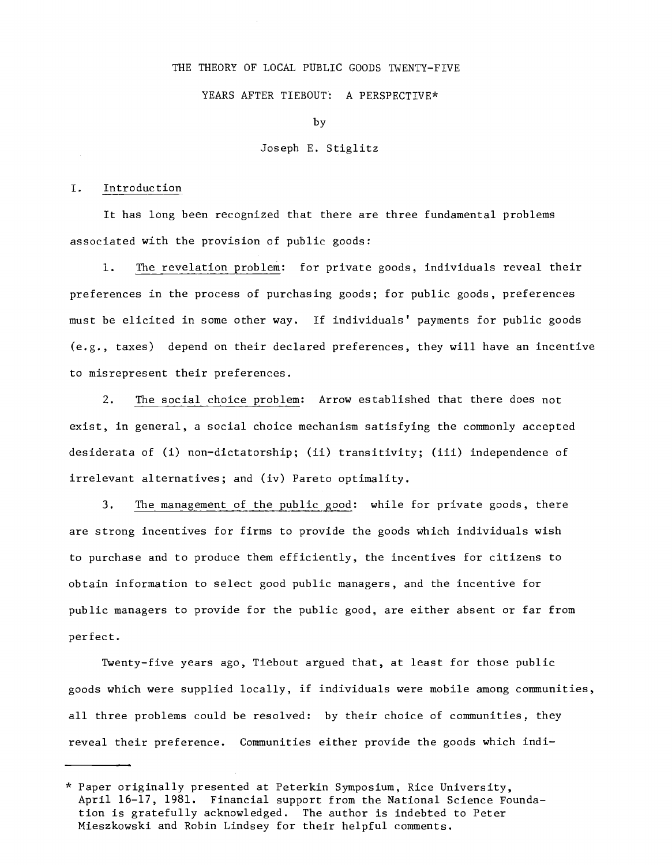## THE THEORY OF LOCAL PUBLIC GOODS TWENTY—FIVE

#### YEARS AFTER TIEBOUT: A PERSPECTIVE\*

by

Joseph E. Stiglitz

#### I. Introduction

It has long been recognized that there are three fundamental problems associated with the provision of public goods:

1. The revelation problem: for private goods, individuals reveal their preferences in the process of purchasing goods; for public goods, preferences must be elicited in some other way. If individuals' payments for public goods (e.g., taxes) depend on their declared preferences, they will have an incentive to misrepresent their preferences.

2. The social choice problem: Arrow established that there does not exist, in general, a social choice mechanism satisfying the commonly accepted desiderata of (i) non—dictatorship; (ii) transitivity; (iii) independence of irrelevant alternatives; and (iv) Pareto optimality.

3. The management of the public good: while for private goods, there are strong incentives for firms to provide the goods which individuals wish to purchase and to produce them efficiently, the incentives for citizens to obtain information to select good public managers, and the incentive for public managers to provide for the public good, are either absent or far from perfect.

Twenty—five years ago, Tiebout argued that, at least for those public goods which were supplied locally, if individuals were mobile among communities, all three problems could be resolved: by their choice of communities, they reveal their preference. Communities either provide the goods which indi-

<sup>\*</sup> Paper originally presented at Peterkin Symposium, Rice University, April 16—17, 1981. Financial support from the National Science Foundation is gratefully acknowledged. The author is indebted to Peter Mieszkowski and Robin Lindsey for their helpful comments.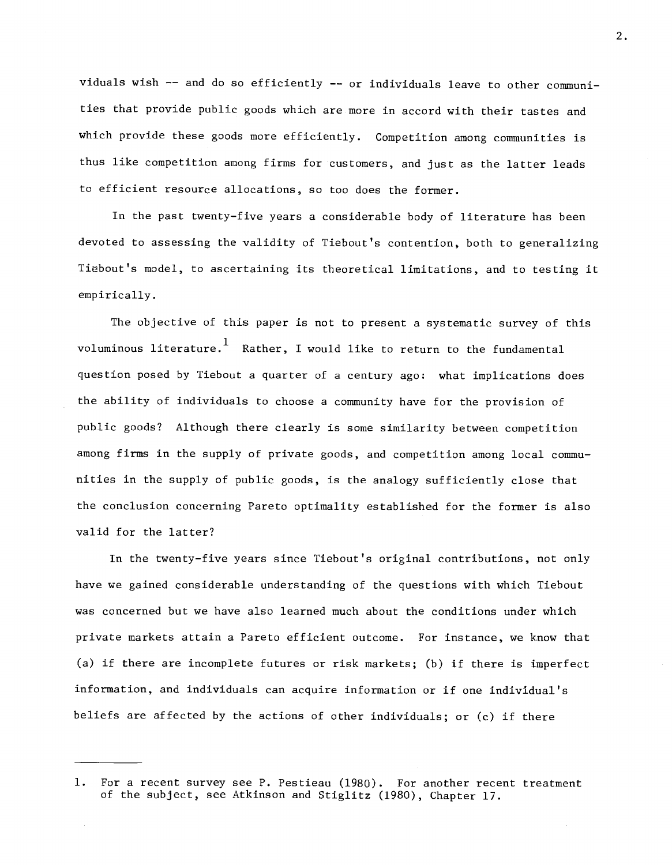viduals wish  $--$  and do so efficiently  $--$  or individuals leave to other communities that provide public goods which are more in accord with their tastes and which provide these goods more efficiently. Competition among communities is thus like competition among firms for customers, and just as the latter leads to efficient resource allocations, so too does the former.

In the past twenty—five years a considerable body of literature has been devoted to assessing the validity of Tiebout's contention, both to generalizing Tiebout's model, to ascertaining its theoretical limitations, and to testing it empirically.

The objective of this paper is not to present a systematic survey of this voluminous literature.<sup>1</sup> Rather, I would like to return to the fundamental question posed by Tiebout a quarter of a century ago: what implications does the ability of individuals to choose a community have for the provision of public goods? Although there clearly is some similarity between competition among firms in the supply of private goods, and competition among local communities in the supply of public goods, is the analogy sufficiently close that the conclusion concerning Pareto optimality established for the former is also valid for the latter?

In the twenty—five years since Tiebout's original contributions, not only have we gained considerable understanding of the questions with which Tiebout was concerned but we have also learned much about the conditions under which private markets attain a Pareto efficient outcome. For instance, we know that (a) if there are incomplete futures or risk markets; (b) if there is imperfect information, and individuals can acquire information or if one individual's beliefs are affected by the actions of other individuals; or (c) if there

<sup>1.</sup> For a recent survey see P. Pestieau (1980). For another recent treatment of the subject, see Atkinson and Stiglitz (1980), Chapter 17.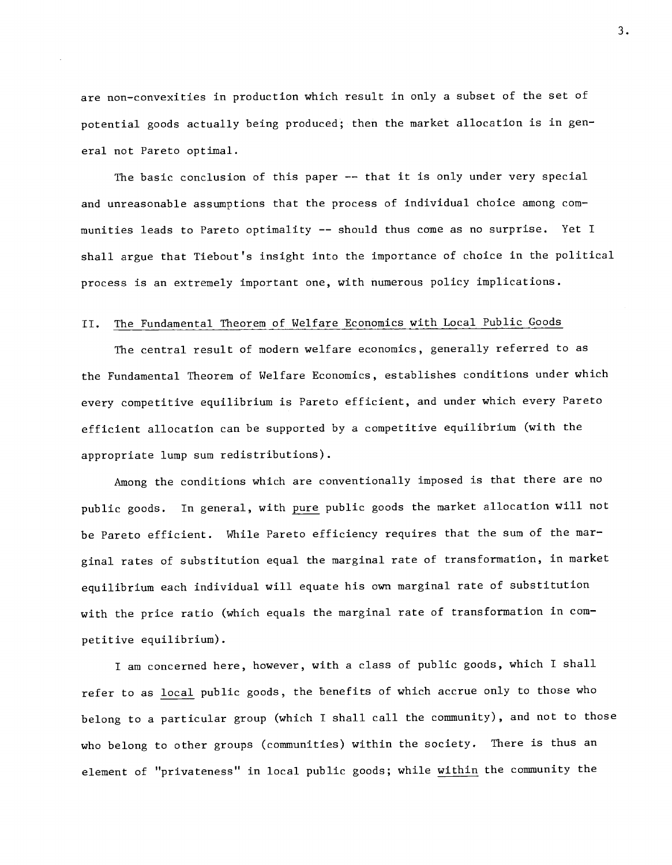are non—convexities in production which result in only a subset of the set of potential goods actually being produced; then the market allocation is in general not Pareto optimal.

The basic conclusion of this paper -- that it is only under very special and unreasonable assumptions that the process of individual choice among communities leads to Pareto optimality -- should thus come as no surprise. Yet I shall argue that Tiebout's insight into the importance of choice in the political process is an extremely important one, with numerous policy implications.

### II. The Fundamental Theorem of Welfare Economics with Local Public Goods

The central result of modern welfare economics, generally referred to as the Fundamental Theorem of Welfare Economics, establishes conditions under which every competitive equilibrium is Pareto efficient, and under which every Pareto efficient allocation can be supported by a competitive equilibrium (with the appropriate lump sum redistributions).

Among the conditions which are conventionally imposed is that there are no public goods. In general, with pure public goods the market allocation will not be Pareto efficient. While Pareto efficiency requires that the sum of the marginal rates of substitution equal the marginal rate of transformation, in market equilibrium each individual will equate his own marginal rate of substitution with the price ratio (which equals the marginal rate of transformation in competitive equilibrium).

I am concerned here, however, with a class of public goods, which I shall refer to as local public goods, the benefits of which accrue only to those who belong to a particular group (which I shall call the community), and not to those who belong to other groups (communities) within the society. There is thus an element of "privateness" in local public goods; while within the community the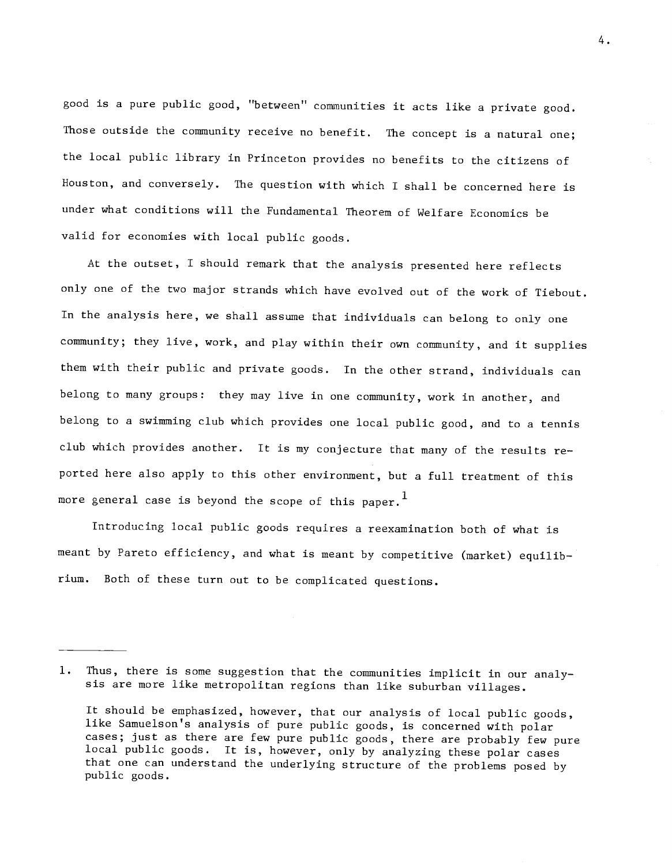good is a pure public good, "between" communities it acts like a private good. Those outside the community receive no benefit. The concept is a natural one; the local public library in Princeton provides no benefits to the citizens of Houston, and conversely. The question with which I shall be concerned here is under what conditions will the Fundamental Theorem of Welfare Economics be valid for economies with local public goods.

At the outset, I should remark that the analysis presented here reflects only one of the two major strands which have evolved out of the work of Tiebout. In the analysis here, we shall assume that individuals can belong to only one community; they live, work, and play within their own community, and it supplies them with their public and private goods. In the other strand, individuals can belong to many groups: they may live in one community, work in another, and belong to a swimming club which provides one local public good, and to a tennis club which provides another. It is my conjecture that many of the results reported here also apply to this other environment, but a full treatment of this more general case is beyond the scope of this paper.  $^1$ 

Introducing local public goods requires a reexamination both of what is meant by Pareto efficiency, and what is meant by competitive (market) equilib rium. Both of these turn out to be complicated questions.

<sup>1.</sup> Thus, there is some suggestion that the communities implicit in our analysis are more like metropolitan regions than like suburban villages.

It should be emphasized, however, that our analysis of local public goods, like Samuelson's analysis of pure public goods, is concerned with polar cases; just as there are few pure public goods, there are probably few pure local public goods. It is, however, only by analyzing these polar cases that one can understand the underlying structure of the problems posed by public goods.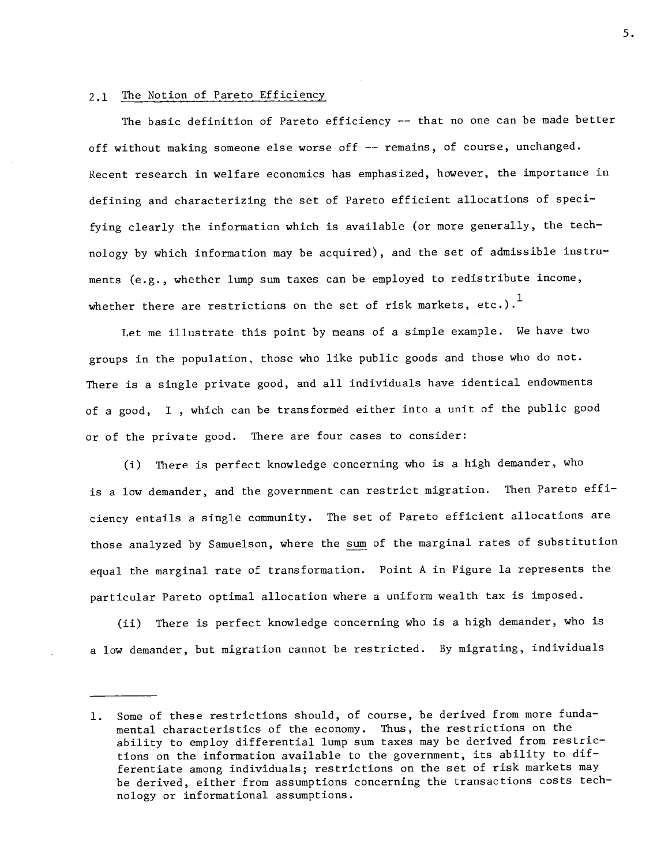## 2.1 The Notion of Pareto Efficiency

The basic definition of Pareto efficiency -- that no one can be made better off without making someone else worse off -- remains, of course, unchanged. Recent research in welfare economics has emphasized, however, the importance in defining and characterizing the set of Pareto efficient allocations of specifying clearly the information which is available (or more generally, the technology by which information may be acquired), and the set of admissible instruments (e.g., whether lump sum taxes can be employed to redistribute income, whether there are restrictions on the set of risk markets, etc.).<sup>1</sup>

Let me illustrate this point by means of a simple example. We have two groups in the population, those who like public goods and those who do not. There is a single private good, and all individuals have identical endowments of a good, I , which can be transformed either into a unit of the public good or of the private good. There are four cases to consider:

(1) There is perfect knowledge concerning who is a high demander, who is a low demander, and the government can restrict migration. Then Pareto efficiency entails a single community. The set of Pareto efficient allocations are those analyzed by Samuelson, where the sum of the marginal rates of substitution equal the marginal rate of transformation. Point A in Figure la represents the particular Pareto optimal allocation where a uniform wealth tax is imposed.

(ii) There is perfect knowledge concerning who is a high demander, who is a low demander, but migration cannot be restricted. By migrating, individuals

<sup>1.</sup> Some of these restrictions should, of course, be derived from more fundamental characteristics of the economy. Thus, the restrictions on the ability to employ differential lump sum taxes may be derived from restrictions on the information available to the government, its ability to differentiate among individuals; restrictions on the set of risk markets may be derived, either from assumptions concerning the transactions costs technology or informational assumptions.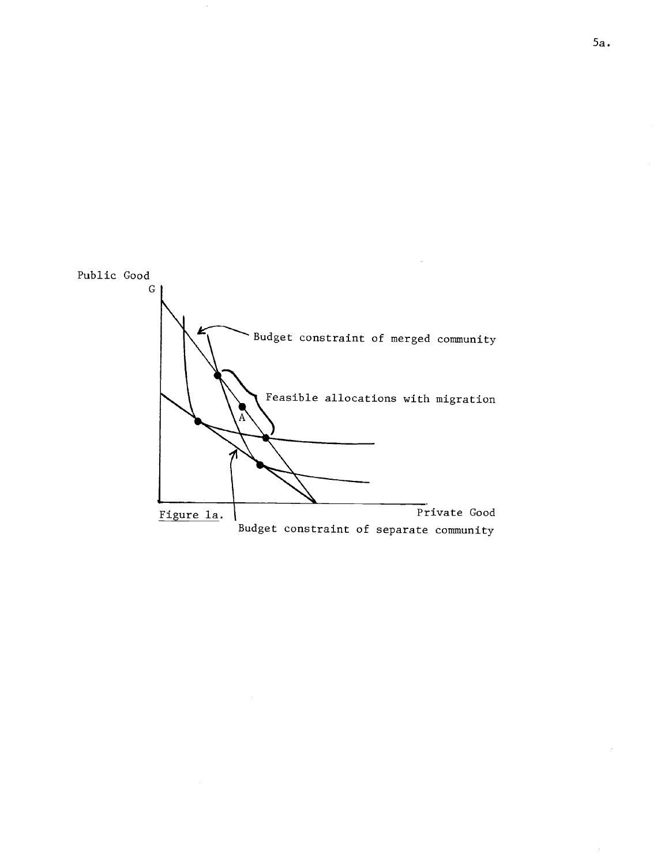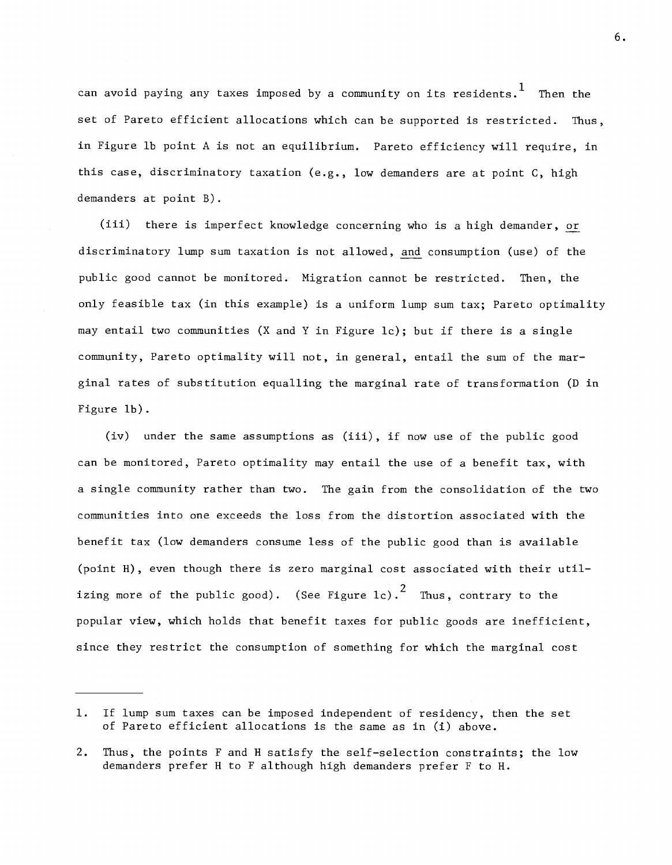can avoid paying any taxes imposed by a community on its residents.  $^1$  Then the set of Pareto efficient allocations which can be supported is restricted. Thus, in Figure lb point A is not an equilibrium. Pareto efficiency will require, in this case, discriminatory taxation (e.g., low demanders are at point C, high demanders at point B).

(iii) there is imperfect knowledge concerning who is a high demander, or discriminatory lump sum taxation is not allowed, and consumption (use) of the public good cannot be monitored. Migration cannot be restricted. Then, the only feasible tax (in this example) is a uniform lump sum tax; Pareto optimality may entail two communities (X and Y in Figure 1c); but if there is a single community, Pareto optimality will not, in general, entail the sum of the marginal rates of substitution equalling the marginal rate of transformation (D in Figure lb).

(iv) under the same assumptions as (iii), if now use of the public good can be monitored, Pareto optimality may entail the use of a benefit tax, with a single community rather than two. The gain from the consolidation of the two communities into one exceeds the loss from the distortion associated with the benefit tax (low demanders consume less of the public good than is available (point H), even though there is zero marginal cost associated with their utilizing more of the public good). (See Figure 1c).<sup>2</sup> Thus, contrary to the popular view, which holds that benefit taxes for public goods are inefficient, since they restrict the consumption of something for which the marginal cost

<sup>1.</sup> If lump sum taxes can be imposed independent of residency, then the set of Pareto efficient allocations is the same as in (1) above.

<sup>2.</sup> Thus, the points F and H satisfy the self—selection constraints; the low demanders prefer H to F although high demanders prefer F to H.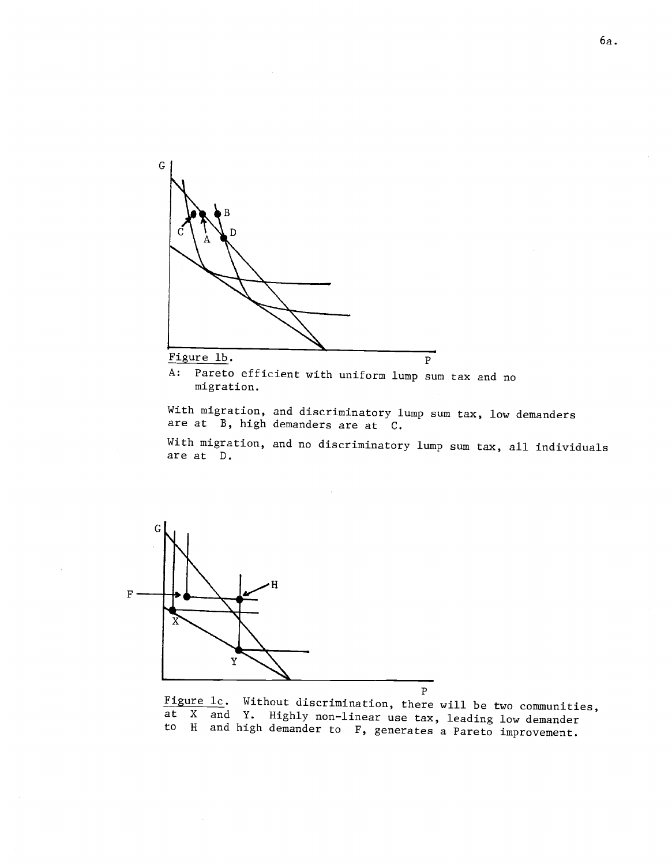

migration. A: Pareto efficient with uniform lump sum tax and no

With migration, and discriminatory lump sum tax, low demanders are at B, high demanders are at C.

With migration, and no discriminatory lump sum tax, all individuals are at D.



Figure 1c. Without discrimination, there will be two communities, at X and Y. Highly non—linear use tax, leading low demander to H and high demander to F, generates a Pareto improvement.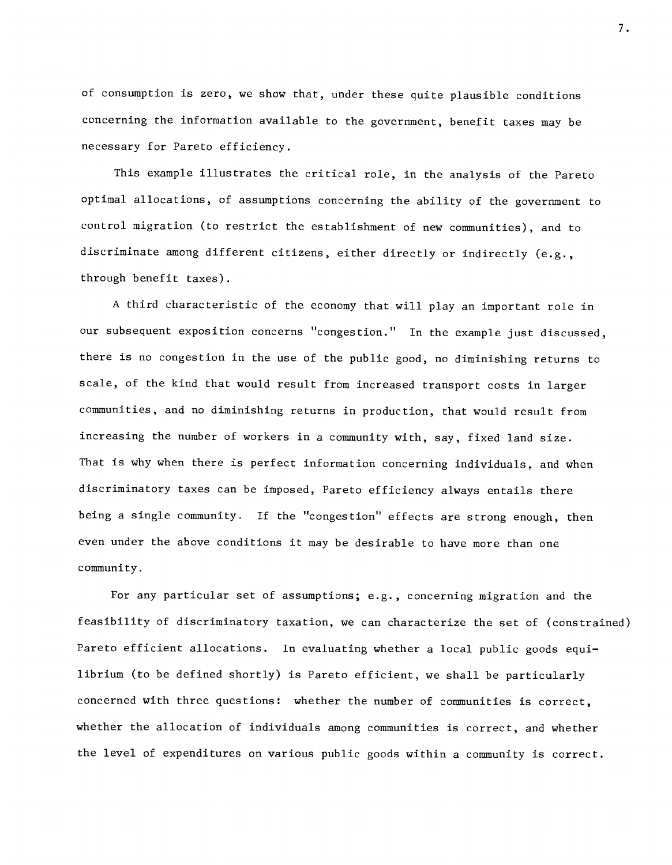of consumption is zero, we show that, under these quite plausible conditions concerning the information available to the government, benefit taxes may be necessary for Pareto efficiency.

This example illustrates the critical role, in the analysis of the Pareto optimal allocations, of assumptions concerning the ability of the government to control migration (to restrict the establishment of new communities), and to discriminate among different citizens, either directly or indirectly (e.g., through benefit taxes).

A third characteristic of the economy that will play an important role in our subsequent exposition concerns "congestion." In the example just discussed, there is no congestion in the use of the public good, no diminishing returns to scale, of the kind that would result from increased transport costs in larger communities, and no diminishing returns in production, that would result from increasing the number of workers in a community with, say, fixed land size. That is why when there is perfect information concerning individuals, and when discriminatory taxes can be imposed, Pareto efficiency always entails there being a single community. If the "congestion" effects are strong enough, then even under the above conditions it may be desirable to have more than one community.

For any particular set of assumptions; e.g., concerning migration and the feasibility of discriminatory taxation, we can characterize the set of (constrained) Pareto efficient allocations. In evaluating whether a local public goods equilibrium (to be defined shortly) is Pareto efficient, we shall be particularly concerned with three questions: whether the number of communities is correct, whether the allocation of individuals among communities is correct, and whether the level of expenditures on various public goods within a community is correct.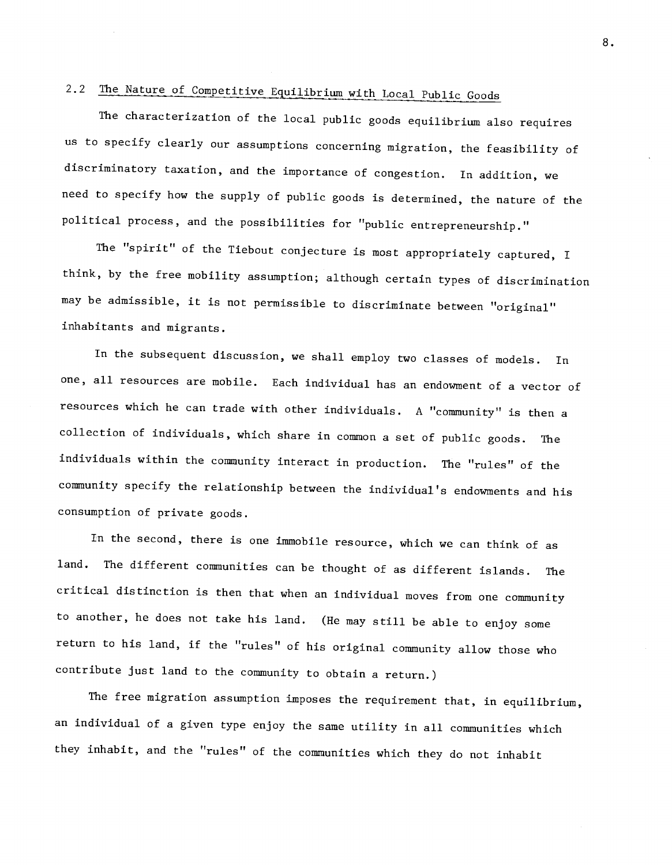# 2.2 The Nature of Competitive Equilibrium with Local Public Goods

The characterization of the local public goods equilibrium also requires us to specify clearly our assumptions concerning migration, the feasibility of discriminatory taxation, and the importance of congestion. In addition, we need to specify how the supply of public goods is determined, the nature of the political process, and the possibilities for "public entrepreneurship."

The "spirit" of the Tiebout conjecture is most appropriately captured, I think, by the free mobility assumption; although certain types of discrimination may be admissible, it is not permissible to discriminate between "original" inhabitants and migrants.

In the subsequent discussion, we shall employ two classes of models. In one, all resources are mobile. Each individual has an endowment of a vector of resources which he can trade with other individuals. A "community" is then a collection of individuals, which share in common a set of public goods. The individuals within the community interact in production. The "rules" of the community specify the relationship between the individual's endowments and his consumption of private goods.

In the second, there is one immobile resource, which we can think of as land. The different communities can be thought of as different islands. The critical distinction is then that when an individual moves from one community to another, he does not take his land. (He may still be able to enjoy some return to his land, if the "rules" of his original community allow those who contribute just land to the community to obtain a return.)

The free migration assumption imposes the requirement that, in equilibrium, an individual of a given type enjoy the same utility in all communities which they inhabit, and the "rules" of the communities which they do not inhabit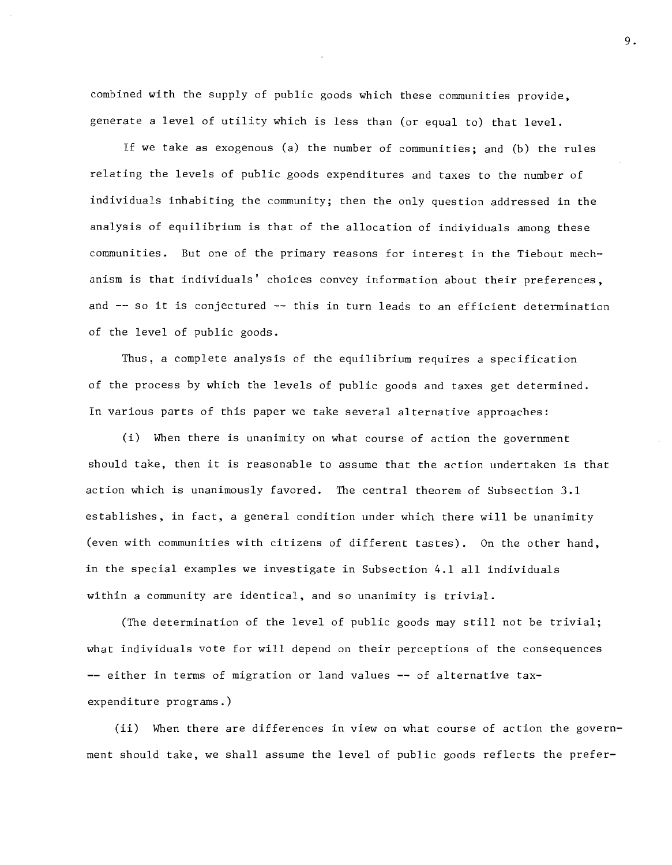combined with the supply of public goods which these communities provide, generate a level of utility which is less than (or equal to) that level.

If we take as exogenous (a) the number of communities; and (b) the rules relating the levels of public goods expenditures and taxes to the number of individuals inhabiting the community; then the only question addressed in the analysis of equilibrium is that of the allocation of individuals among these communities. But one of the primary reasons for interest in the Tiebout mechanism is that individuals' choices convey information about their preferences, and -- so it is conjectured -- this in turn leads to an efficient determination of the level of public goods.

Thus, a complete analysis of the equilibrium requires a specification of the process by which the levels of public goods and taxes get determined. In various parts of this paper we take several alternative approaches:

(i) When there is unanimity on what course of action the government should take, then it is reasonable to assume that the action undertaken is that action which is unanimously favored. The central theorem of Subsection 3.1 establishes, in fact, a general condition under which there will be unanimity (even with communities with citizens of different tastes). On the other hand, in the special examples we investigate in Subsection 4.1 all individuals within a community are identical, and so unanimity is trivial.

(The determination of the level of public goods may still not be trivial; what individuals vote for will depend on their perceptions of the consequences -- either in terms of migration or land values -- of alternative taxexpenditure programs.)

(ii) When there are differences in view on what course of action the government should take, we shall assume the level of public goods reflects the prefer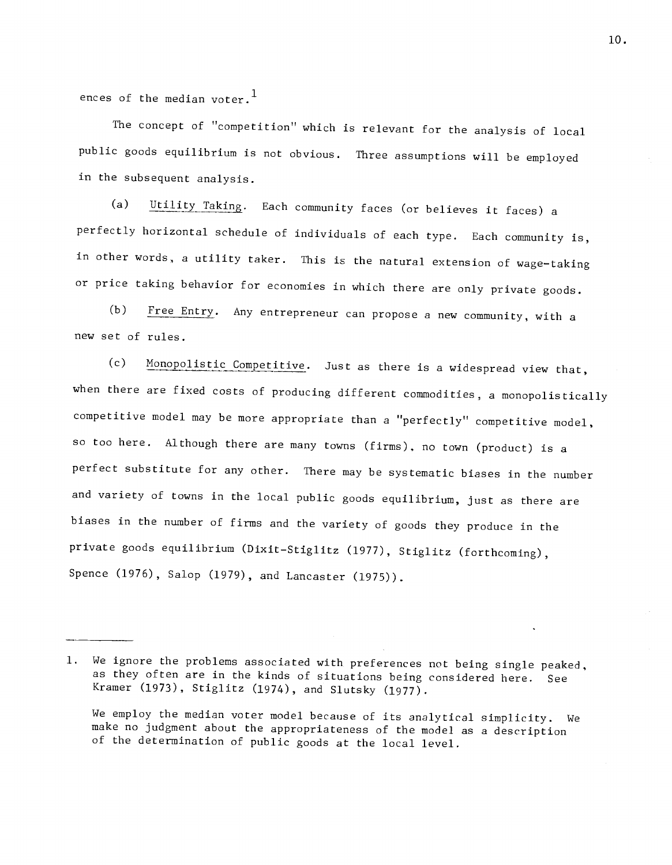ences of the median voter.<sup>1</sup>

The concept of "competition" which is relevant for the analysis of local public goods equilibrium is not obvious. Three assumptions will be employed in the subsequent analysis.

(a) Utility Taking. Each community faces (or believes it faces) a perfectly horizontal schedule of individuals of each type. Each community is, in other words, a utility taker. This is the natural extension of wage—taking or price taking behavior for economies in which there are only private goods.

(b) Free Entry. Any entrepreneur can propose a new community, with a new set of rules.

(c) Monopolistic Competitive. Just as there is a widespread view that, when there are fixed costs of producing different commodities, a monopolistically competitive model may be more appropriate than a "perfectly" competitive model, so too here. Although there are many towns (firms), no town (product) is a perfect substitute for any other. There may be systematic biases in the number and variety of towns in the local public goods equilibrium, just as there are biases in the number of firms and the variety of goods they produce in the private goods equilibrium (Dixit—Stiglitz (1977), Stiglitz (forthcoming), Spence (1976), Salop (1979), and Lancaster (1975)).

We employ the median voter model because of its analytical simplicity. We make no judgment about the appropriateness of the model as a description of the determination of public goods at the local level.

<sup>1.</sup> We ignore the problems associated with preferences not being single peaked, as they often are in the kinds of situations being considered here. See Kramer (1973), Stiglitz (1974), and Slutsky (1977).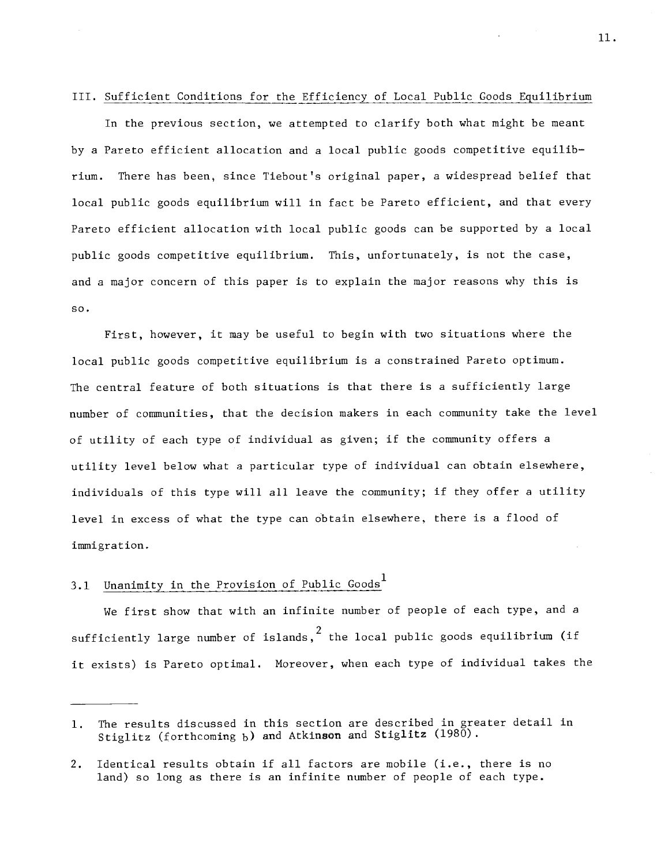### III. Sufficient Conditions for the Efficiency of Local Public Goods Equilibrium

In the previous section, we attempted to clarify both what might be meant by a Pareto efficient allocation and a local public goods competitive equilibrium. There has been, since Tiebout's original paper, a widespread belief that local public goods equilibrium will in fact be Pareto efficient, and that every Pareto efficient allocation with local public goods can be supported by a local public goods competitive equilibrium. This, unfortunately, is not the case, and a major concern of this paper is to explain the major reasons why this is so.

First, however, it may be useful to begin with two situations where the local public goods competitive equilibrium is a constrained Pareto optimum. The central feature of both situations is that there is a sufficiently large number of communities, that the decision makers in each community take the level of utility of each type of individual as given; if the community offers a utility level below what a particular type of individual can obtain elsewhere, individuals of this type will all leave the community; if they offer a utility level in excess of what the type can obtain elsewhere, there is a flood of immigration.

## 3.1 Unanimity in the Provision of Public Goods<sup>1</sup>

We first show that with an infinite number of people of each type, and a sufficiently large number of islands,  $^2$  the local public goods equilibrium (if it exists) is Pareto optimal. Moreover, when each type of individual takes the

<sup>1.</sup> The results discussed in this section are described in greater detail in Stiglitz (forthcoming b) and Atkinson and Stiglitz  $(1980)$ .

<sup>2.</sup> Identical results obtain if all factors are mobile (i.e., there is no land) so long as there is an infinite number of people of each type.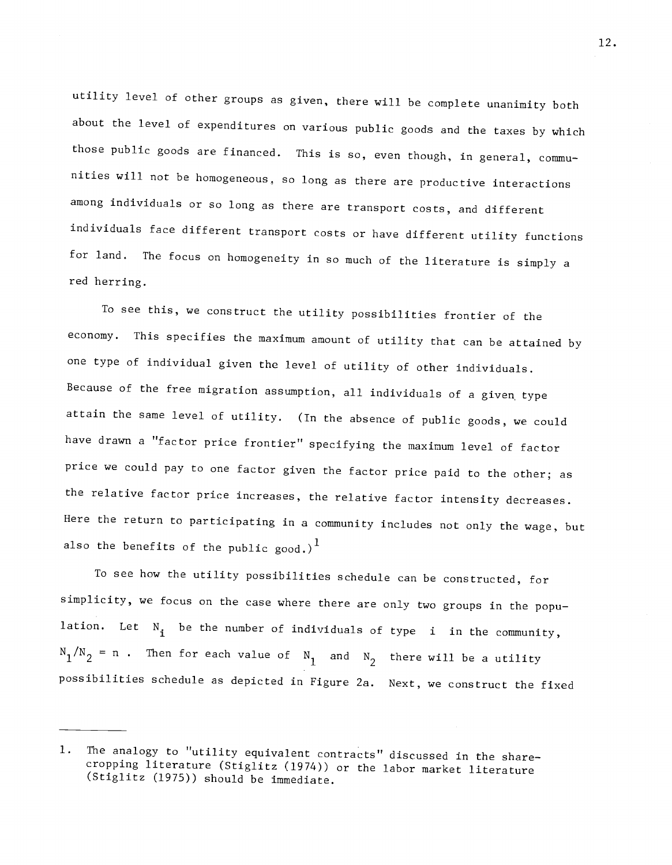utility level of other groups as given, there will be complete unanimity both about the level of expenditures on various public goods and the taxes by which those public goods are financed. This is so, even though, in general, communities will not be homogeneous, so long as there are productive interactions among individuals or so long as there are transport costs, and different individuals face different transport costs or have different utility functions for land. The focus on homogeneity in so much of the literature is simply a red herring.

To see this, we construct the utility possibilities frontier of the economy. This specifies the maximum amount of utility that can be attained by one type of individual given the level of utility of other individuals. Because of the free migration assumption, all individuals of a given, type attain the same level of utility. (In the absence of public goods, we could have drawn a "factor price frontier" specifying the maximum level of factor price we could pay to one factor given the factor price paid to the other; as the relative factor price increases, the relative factor intensity decreases. Here the return to participating in a community includes not only the wage, but also the benefits of the public good.)<sup>1</sup>

To see how the utility possibilities schedule can be constructed, for simplicity, we focus on the case where there are only two groups in the population. Let  $N_i$  be the number of individuals of type i in the community,  $N_1/N_2 = n$ . Then for each value of  $N_1$  and  $N_2$  there will be a utility possibilities schedule as depicted in Figure 2a. Next, we construct the fixed

<sup>1.</sup> The analogy to "utility equivalent contracts" discussed in the sharecropping literature (Stiglitz (1974)) or the labor market literature (Stiglitz (1975)) should be immediate.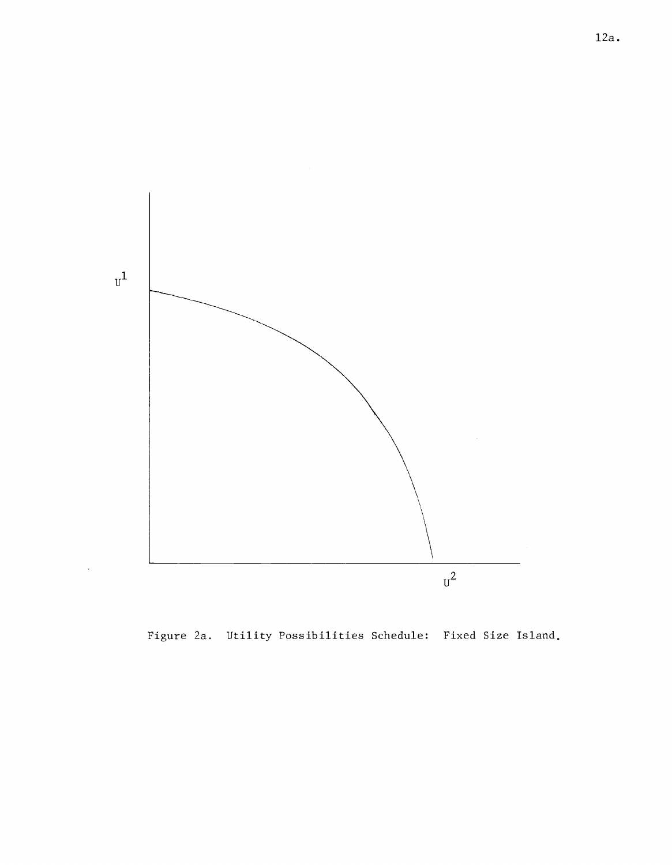

Figure 2a. Utility Possibilities Schedule: Fixed Size Island.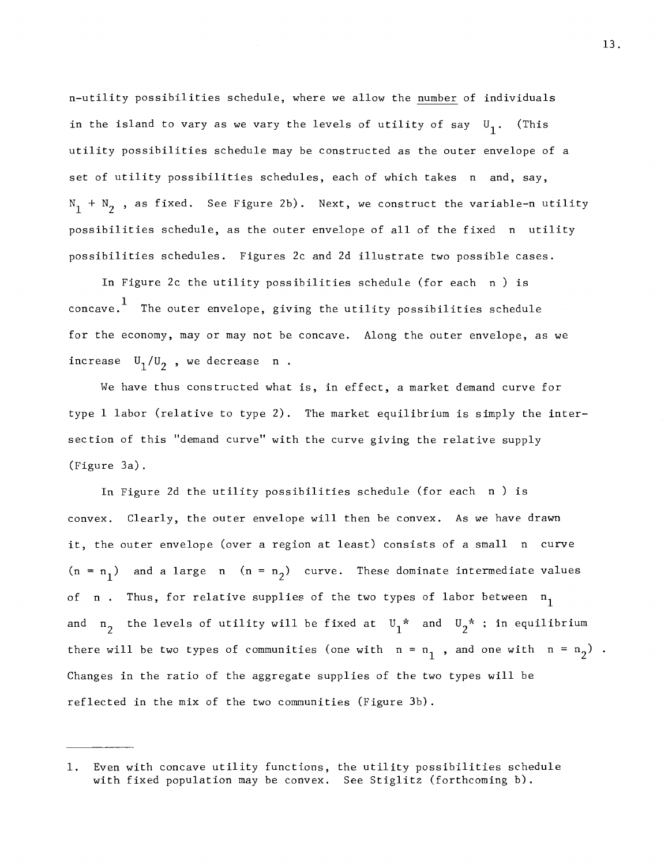n—utility possibilities schedule, where we allow the number of individuals in the island to vary as we vary the levels of utility of say  $U_1$ . (This utility possibilities schedule may be constructed as the outer envelope of a set of utility possibilities schedules, each of which takes n and, say,  $N_1 + N_2$ , as fixed. See Figure 2b). Next, we construct the variable-n utility possibilities schedule, as the outer envelope of all of the fixed n utility possibilities schedules. Figures 2c and 2d illustrate two possible cases.

In Figure 2c the utility possibilities schedule (for each n ) is concave.<sup>1</sup> The outer envelope, giving the utility possibilities schedule for the economy, may or may not be concave. Along the outer envelope, as we increase  $U_1/U_2$ , we decrease n.

We have thus constructed what is, in effect, a market demand curve for type 1 labor (relative to type 2). The market equilibrium is simply the intersection of this "demand curve" with the curve giving the relative supply (Figure 3a).

In Figure 2d the utility possibilities schedule (for each n ) is convex. Clearly, the outer envelope will then be convex. As we have drawn it, the outer envelope (over a region at least) consists of a small n curve  $(n = n_1)$  and a large n  $(n = n_2)$  curve. These dominate intermediate values of  $n$ . Thus, for relative supplies of the two types of labor between  $n_1$ and  $n_2$  the levels of utility will be fixed at  $U_1^*$  and  $U_2^*$ ; in equilibrium there will be two types of communities (one with  $n = n_1$ , and one with  $n = n_2$ ). Changes in the ratio of the aggregate supplies of the two types will be reflected in the mix of the two communities (Figure 3b).

<sup>1.</sup> Even with concave utility functions, the utility possibilities schedule with fixed population may be convex. See Stiglitz (forthcoming b).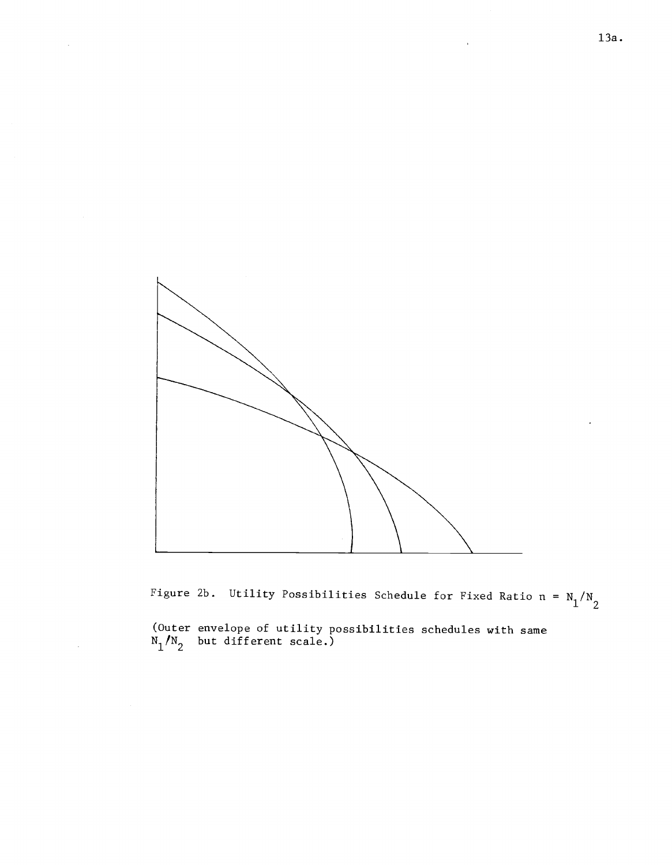

J.

Figure 2b. Utility Possibilities Schedule for Fixed Ratio n =  $N_1/N_2$ 

(Outer envelope of utility possibilities schedules with same  $\text{N}_1/\text{N}_2$  but different scale.)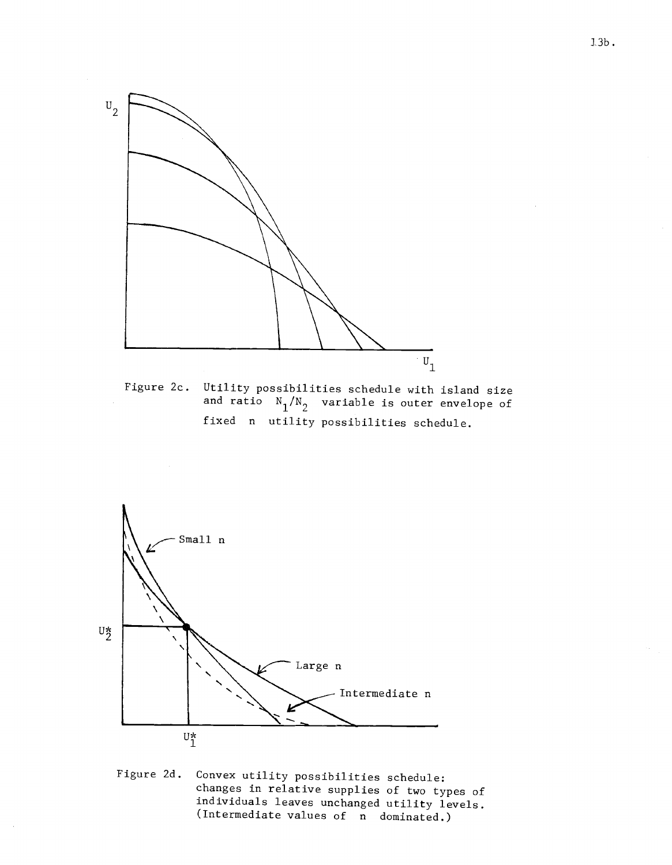

Figure 2c. Utility possibilities schedule with island size and ratio  $N_1/N_2$  variable is outer envelope of fixed n utility possibilities schedule.



Convex utility possibilities schedule: changes in relative supplies of two types of individuals leaves unchanged utility levels. (Intermediate values of n dominated.) Figure 2d.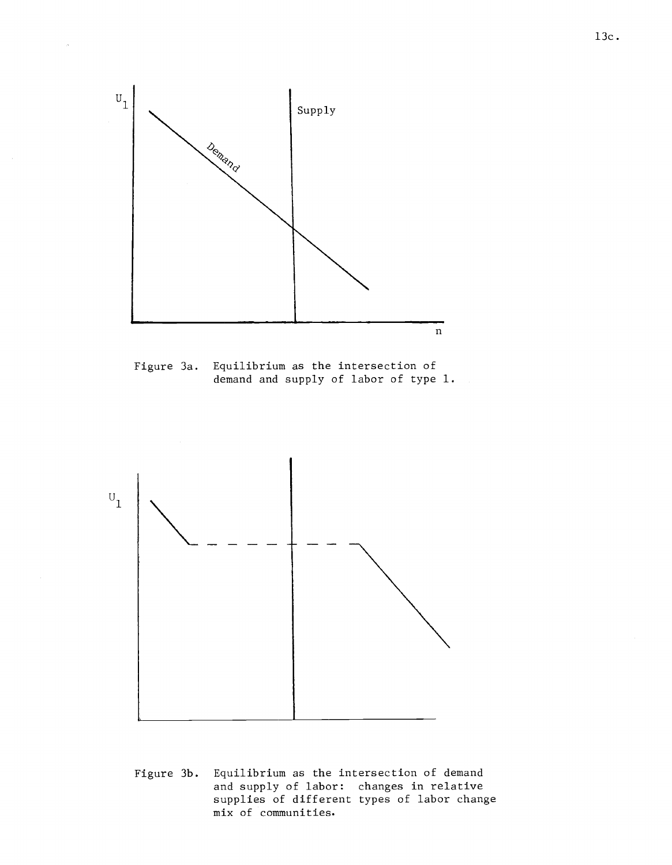

Figure 3a. Equilibrium as the intersection of demand and supply of labor of type 1.



Figure 3b. Equilibrium as the intersection of demand and supply of labor: changes in relative supplies of different types of labor change mix of communities.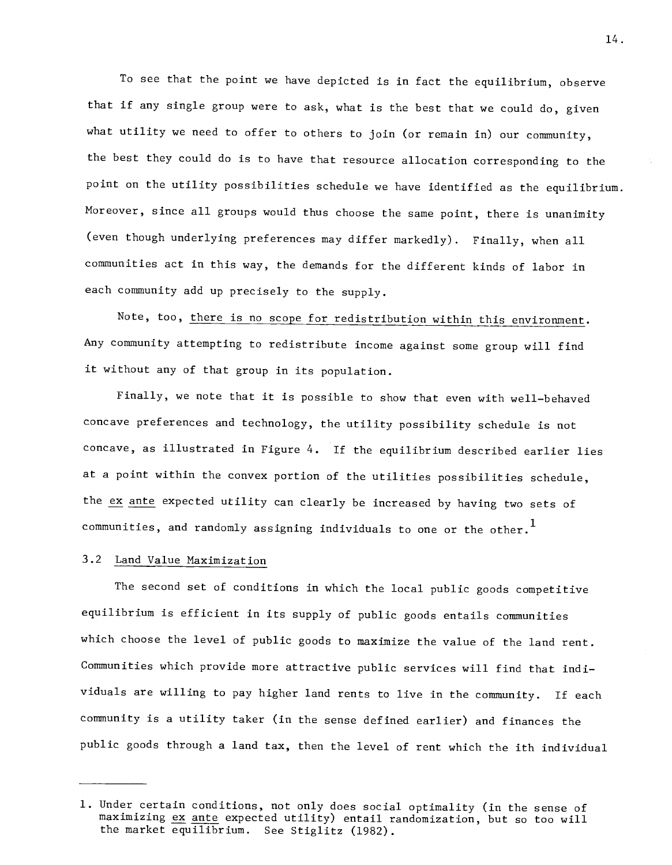To see that the point we have depicted is in fact the equilibrium, observe that if any single group were to ask, what is the best that we could do, given what utility we need to offer to others to join (or remain in) our community, the best they could do is to have that resource allocation corresponding to the point on the utility possibilities schedule we have identified as the equilibrium. Moreover, since all groups would thus choose the same point, there is unanimity (even though underlying preferences may differ markedly). Finally, when all communities act in this way, the demands for the different kinds of labor in each community add up precisely to the supply.

Note, too, there is no scope for redistribution within this environment. Any community attempting to redistribute income against some group will find it without any of that group in its population.

Finally, we note that it is possible to show that even with well—behaved concave preferences and technology, the utility possibility schedule is not concave, as illustrated in Figure 4. If the equilibrium described earlier lies at a point within the convex portion of the utilities possibilities schedule, the ex ante expected utility can clearly be increased by having two sets of communities, and randomly assigning individuals to one or the other.

## 3.2 Land Value Maximization

The second set of conditions in which the local public goods competitive equilibrium is efficient in its supply of public goods entails communities which choose the level of public goods to maximize the value of the land rent. Communities which provide more attractive public services will find that individuals are willing to pay higher land rents to live in the community. If each community is a utility taker (in the sense defined earlier) and finances the public goods through a land tax, then the level of rent which the ith individual

<sup>1.</sup> Under certain conditions, not only does social optimality (in the sense of maximizing ex ante expected utility) entail randomization, but so too will the market equilibrium. See Stiglitz (1982).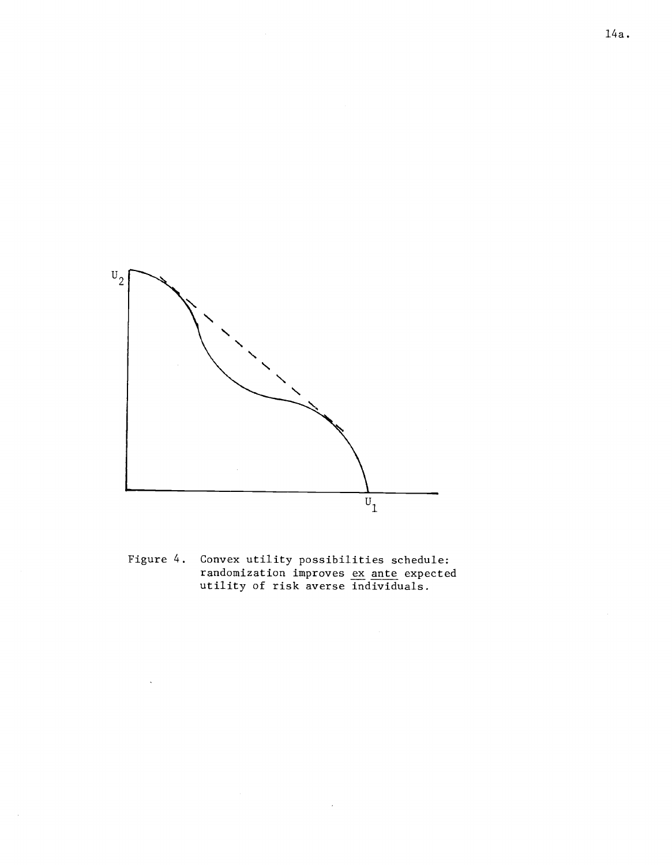

Figure 4. Convex utility possibilities schedule: randomization improves ex ante expected utility of risk averse individuals.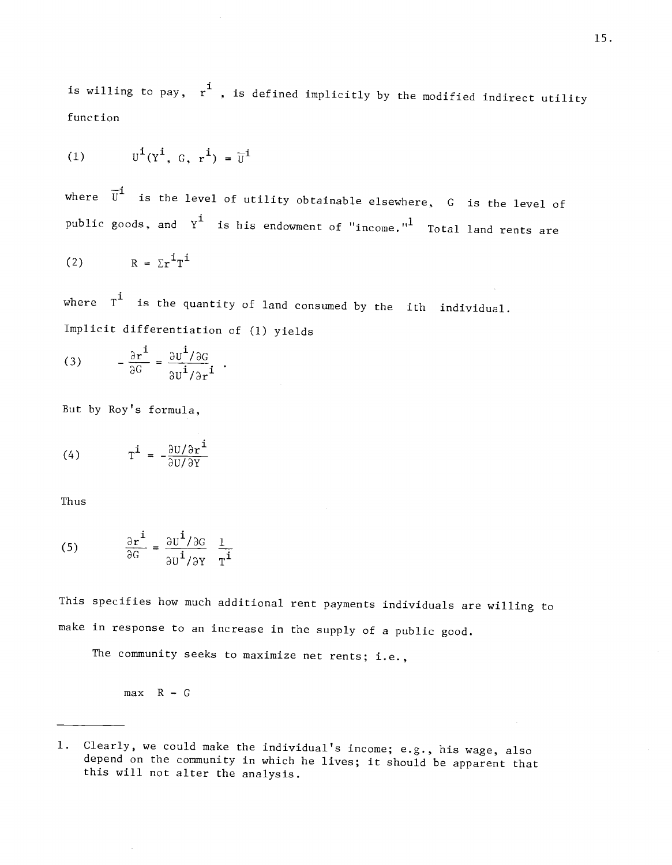is willing to pay,  $r^i$  , is defined implicitly by the modified indirect utility function

(1) Ui(Yi, G, r') = U'

where  $\overline{U}^i$  is the level of utility obtainable elsewhere, G is the level of public goods, and  $Y^i$  is his endowment of "income."<sup>1</sup> Total land rents are

$$
(2) \t R = \Sigma r^{\mathbf{i}} T^{\mathbf{i}}
$$

where  $T^{\mathbf{i}}$  is the quantity of land consumed by the ith individual. Implicit differentiation of (1) yields

(3) 
$$
-\frac{\partial \mathbf{r}^{\mathbf{i}}}{\partial G} = \frac{\partial \mathbf{U}^{\mathbf{i}} / \partial G}{\partial \mathbf{U}^{\mathbf{i}} / \partial \mathbf{r}^{\mathbf{i}}}.
$$

But by Roy's formula,

$$
(4) \t T1 = -\frac{\partial U/\partial r1}{\partial U/\partial Y}
$$

Thus

(5) 
$$
\frac{\partial \mathbf{r}^{\mathbf{i}}}{\partial G} = \frac{\partial \mathbf{U}^{\mathbf{i}} / \partial G}{\partial \mathbf{U}^{\mathbf{i}} / \partial Y} \frac{1}{T^{\mathbf{i}}}
$$

This specifies how much additional rent payments individuals are willing to make in response to an increase in the supply of a public good.

The community seeks to maximize net rents; i.e.,

 $max$  R – G

<sup>1.</sup> Clearly, we could make the individual's income; e.g., his wage, also depend on the community in which he lives; it should be apparent that this will not alter the analysis.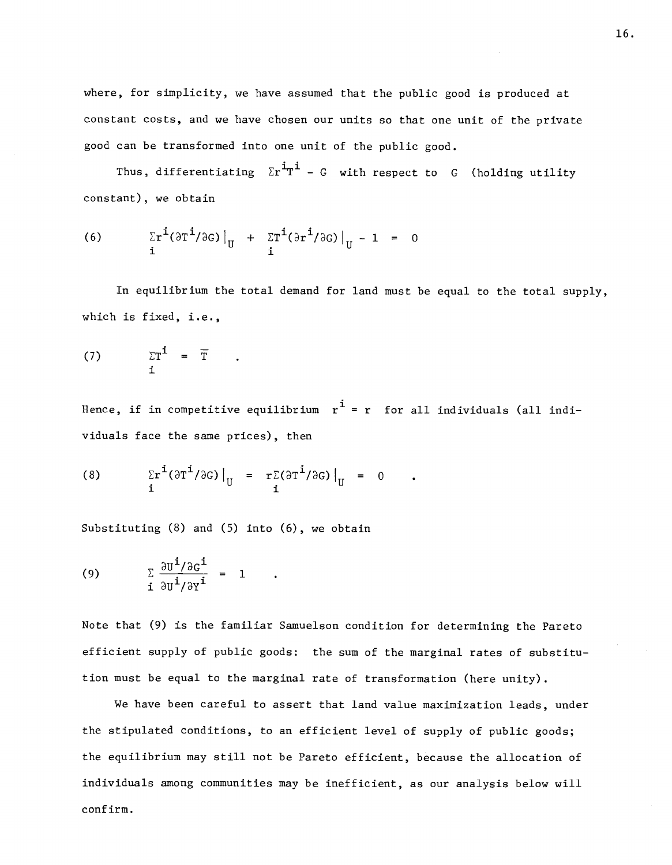where, for simplicity, we have assumed that the public good is produced at constant costs, and we have chosen our units so that one unit of the private good can be transformed into one unit of the public good.

Thus, differentiating  $\sum r^{\mathbf{i}}T^{\mathbf{i}}$  - G with respect to G (holding utility constant), we obtain

(6) 
$$
\Sigma r^{i} (\partial T^{i} / \partial G) \Big|_{U} + \Sigma T^{i} (\partial T^{i} / \partial G) \Big|_{U} - 1 = 0
$$

In equilibrium the total demand for land must be equal to the total supply, which is fixed, i.e.,

$$
(7) \qquad \qquad \Sigma T^{\mathbf{i}} = \overline{T} \qquad .
$$

Hence, if in competitive equilibrium  $r^1$  = r for all individuals (all individuals face the same prices), then

(8) 
$$
\left.\sum_{i} r^{i} (\partial T^{i} / \partial G)\right|_{U} = r \sum_{i} (\partial T^{i} / \partial G)\big|_{U} = 0
$$

Substituting (8) and (5) into (6), we obtain

(9) 
$$
\sum_{i} \frac{\partial U^{i}/\partial G^{i}}{\partial U^{i}/\partial Y^{i}} = 1 .
$$

Note that (9) is the familiar Samuelson condition for determining the Pareto efficient supply of public goods: the sum of the marginal rates of substitution must be equal to the marginal rate of transformation (here unity).

We have been careful to assert that land value maximization leads, under the stipulated conditions, to an efficient level of supply of public goods; the equilibrium may still not be Pareto efficient, because the allocation of individuals among communities may be inefficient, as our analysis below will confirm.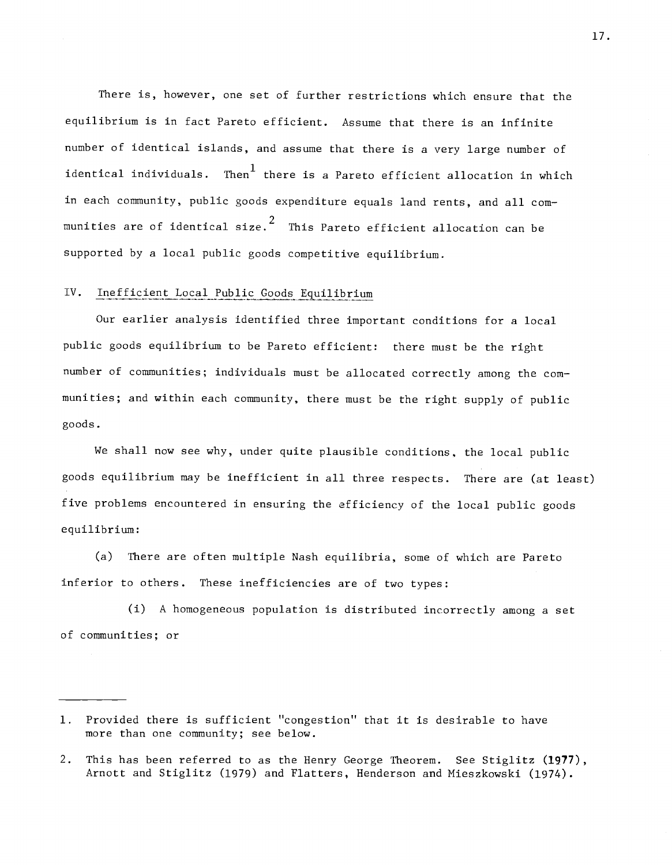There is, however, one set of further restrictions which ensure that the equilibrium is in fact Pareto efficient. Assume that there is an infinite number of identical islands, and assume that there is a very large number of identical individuals. Then $^{\mathrm{1}}$  there is a Pareto efficient allocation in which in each community, public goods expenditure equals land rents, and all communities are of identical size.<sup>2</sup> This Pareto efficient allocation can be supported by a local public goods competitive equilibrium.

## IV. Inefficient Local Public Goods Equilibrium

Our earlier analysis identified three important conditions for a local public goods equilibrium to be Pareto efficient: there must be the right number of communities; individuals must be allocated correctly among the communities; and within each community, there must be the right supply of public goods.

We shall now see why, under quite plausible conditions, the local public goods equilibrium may be inefficient in all three respects. There are (at least) five problems encountered in ensuring the efficiency of the local public goods equilibrium:

(a) There are often multiple Nash equilibria, some of which are Pareto inferior to others. These inefficiencies are of two types:

(1) A homogeneous population is distributed incorrectly among a set of communities; or

<sup>1.</sup> Provided there is sufficient "congestion" that it is desirable to have more than one community; see below.

<sup>2.</sup> This has been referred to as the Henry George Theorem. See Stiglitz (1977), Arnott and Stiglitz (1979) and Flatters, Henderson and Mieszkowski (1974).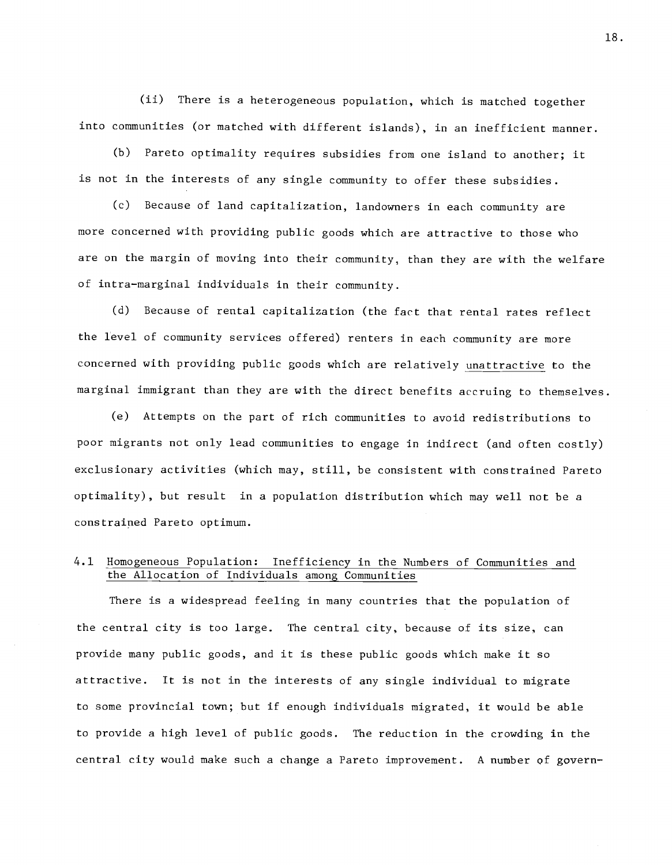(ii) There is a heterogeneous population, which is matched together into communities (or matched with different islands), in an inefficient manner.

(b) Pareto optimality requires subsidies from one island to another; it is not in the interests of any single community to offer these subsidies.

(c) Because of land capitalization, landowners in each community are more concerned with providing public goods which are attractive to those who are on the margin of moving into their community, than they are with the welfare of intra—marginal individuals in their community.

(d) Because of rental capitalization (the fact that rental rates reflect the level of community services offered) renters in each community are more concerned with providing public goods which are relatively unattractive to the marginal immigrant than they are with the direct benefits accruing to themselves.

(e) Attempts on the part of rich communities to avoid redistributions to poor migrants not only lead communities to engage in indirect (and often costly) exclusionary activities (which may, still, be consistent with constrained Pareto optimality), but result in a population distribution which may well not be a constrained Pareto optimum.

## 4.1 Homogeneous Population: Inefficiency in the Numbers of Communities and the Allocation of Individuals among Communities

There is a widespread feeling in many countries that the population of the central city is too large. The central city, because of its size, can provide many public goods, and it is these public goods which make it so attractive. It is not in the interests of any single individual to migrate to some provincial town; but if enough individuals migrated, it would be able to provide a high level of public goods. The reduction in the crowding in the central city would make such a change a Pareto improvement. A number of govern—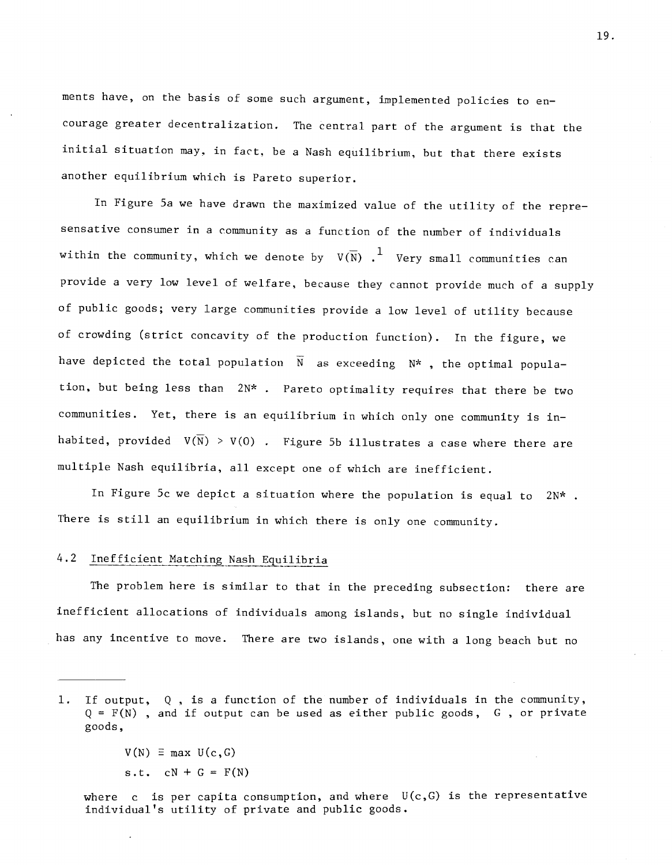ments have, on the basis of some such argument, implemented policies to encourage greater decentralization. The central part of the argument is that the initial situation may, in fact, be a Nash equilibrium, but that there exists another equilibrium which is Pareto superior.

In Figure 5a we have drawn the maximized value of the utility of the repre sensative consumer in a community as a function of the number of individuals within the community, which we denote by  $V(\overline{N})$  .<sup>1</sup> Very small communities can provide a very low level of welfare, because they cannot provide much of a supply of public goods; very large communities provide a low level of utility because of crowding (strict concavity of the production function). In the figure, we have depicted the total population  $\overline{N}$  as exceeding  $N^*$ , the optimal population, but being less than 2N\* . Pareto optimality requires that there be two communities. Yet, there is an equilibrium in which only one community is inhabited, provided  $V(\overline{N}) > V(0)$ . Figure 5b illustrates a case where there are multiple Nash equilibria, all except one of which are inefficient.

In Figure 5c we depict a situation where the population is equal to  $2N^*$ . There is still an equilibrium in which there is only one community.

## 4.2 Inefficient Matching Nash Equilibria

The problem here is similar to that in the preceding subsection: there are inefficient allocations of individuals among islands, but no single individual has any incentive to move. There are two islands, one with a long beach but no

 $V(N) \equiv \max U(c, G)$ s.t.  $cN + G = F(N)$ 

where c is per capita consumption, and where  $U(c, G)$  is the representative individual's utility of private and public goods.

<sup>1.</sup> If output, Q, is a function of the number of individuals in the community,  $Q = F(N)$ , and if output can be used as either public goods,  $G$ , or private goods,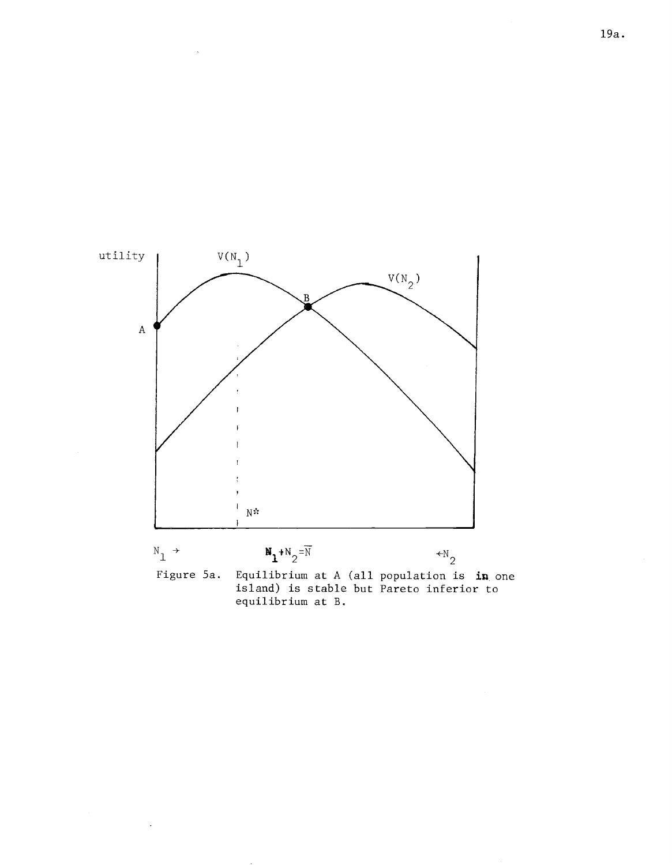

 $\hat{\mathcal{A}}$ 

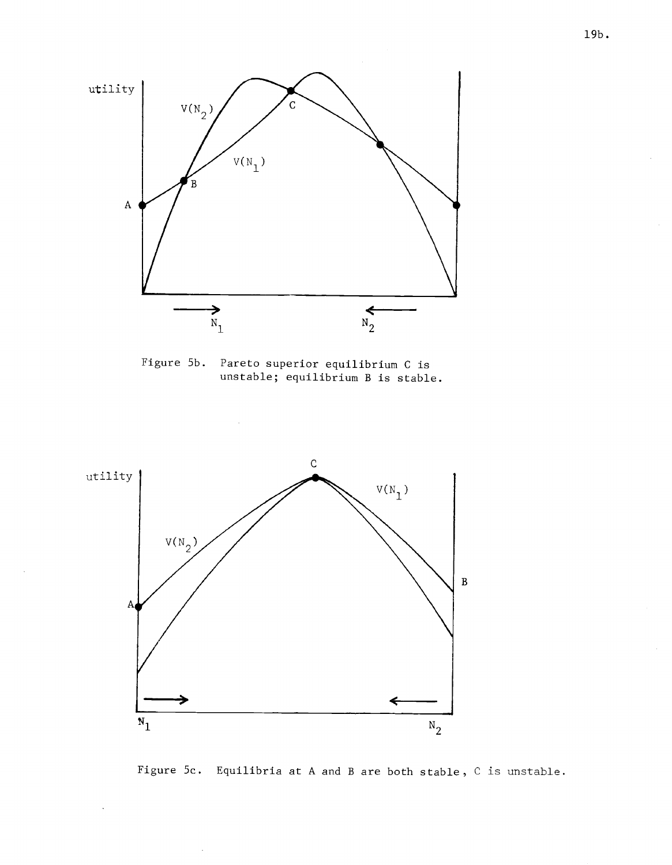

Figure 5b. Pareto superior equilibrium C is unstable; equilibrium B is stable.



Figure 5c. Equilibria at A and B are both stable, C is unstable.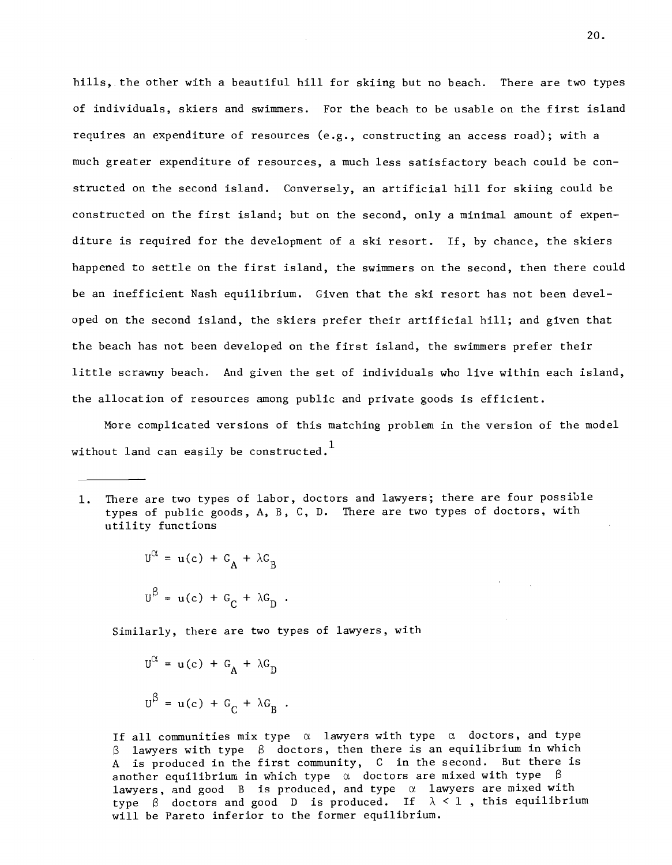hills, the other with a beautiful hill for skiing but no beach. There are two types of individuals, skiers and swimmers. For the beach to be usable on the first island requires an expenditure of resources (e.g., constructing an access road); with a much greater expenditure of resources, a much less satisfactory beach could be constructed on the second island. Conversely, an artificial hill for skiing could be constructed on the first island; but on the second, only a minimal amount of expenditure is required for the development of a ski resort. If, by chance, the skiers happened to settle on the first island, the swimmers on the second, then there could be an inefficient Nash equilibrium. Given that the ski resort has not been developed on the second island, the skiers prefer their artificial hill; and given that the beach has not been developed on the first island, the swimmers prefer their little scrawny beach. And given the set of individuals who live within each island, the allocation of resources among public and private goods is efficient.

More complicated versions of this matching problem in the version of the model without land can easily be constructed.<sup>1</sup>

1. There are two types of labor, doctors and lawyers; there are four possible types of public goods, A, B, C, D. There are two types of doctors, with utility functions

> $= u(c) + G_A + \lambda G_B$  $U^{\beta} = u(c) + G_c + \lambda G_n$ .

Similarly, there are two types of lawyers, with

$$
U^{\alpha} = u(c) + G_{A} + \lambda G_{D}
$$
  

$$
U^{\beta} = u(c) + G_{C} + \lambda G_{B}
$$

If all communities mix type  $\alpha$  lawyers with type  $\alpha$  doctors, and type  $\beta$  lawyers with type  $\beta$  doctors, then there is an equilibrium in which A is produced in the first community, C in the second. But there is another equilibrium in which type  $\alpha$  doctors are mixed with type  $\beta$ lawyers, and good  $B$  is produced, and type  $\alpha$  lawyers are mixed with type  $\beta$  doctors and good D is produced. If  $\lambda < 1$ , this equilibrium will be Pareto inferior to the former equilibrium.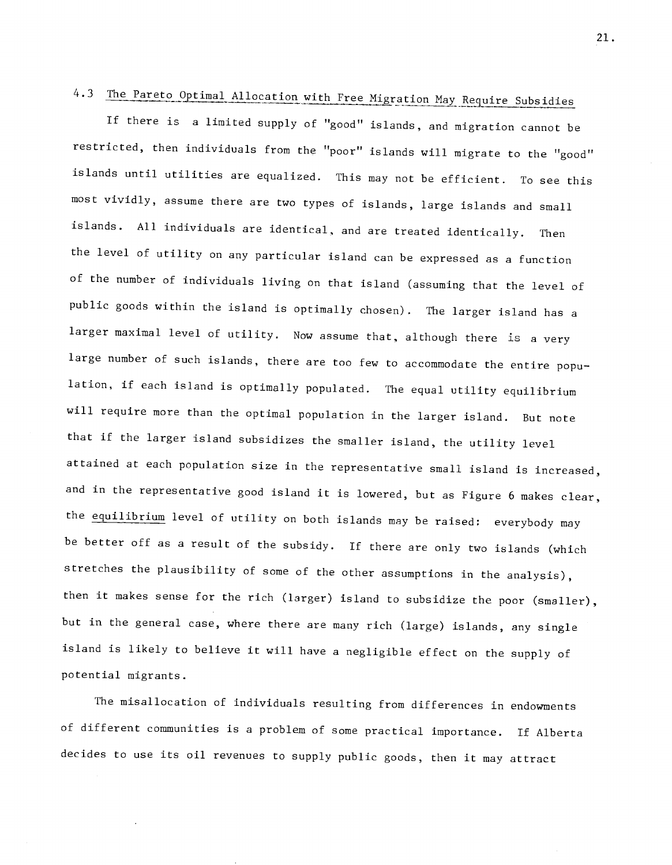# 4.3 The Pareto Optimal Allocation with Free Migration May Require Subsidies

If there is a limited supply of "good" islands, and migration cannot be restricted, then individuals from the "poor" islands will migrate to the "good" islands until utilities are equalized. This may not be efficient. To see this most vividly, assume there are two types of islands, large islands and small islands. All individuals are identical, and are treated identically. Then the level of utility on any particular island can be expressed as a function of the number of individuals living on that island (assuming that the level of public goods within the island is optimally chosen). The larger island has a larger maximal level of utility. Now assume that, although there is a very large number of such islands, there are too few to accommodate the entire population, if each island is optimally populated. The equal utility equilibrium will require more than the optimal population in the larger island. But note that if the larger island subsidizes the smaller island, the utility level attained at each population size in the representative small island is increased, and in the representative good island it is lowered, but as Figure 6 makes clear, the equilibrium level of utility on both islands may be raised: everybody may be better off as a result of the subsidy. If there are only two islands (which stretches the plausibility of some of the other assumptions in the analysis), then it makes sense for the rich (larger) island to subsidize the poor (smaller), but in the general case, where there are many rich (large) islands, any single island is likely to believe it will have a negligible effect on the supply of potential migrants.

The misallocation of individuals resulting from differences in endowments of different communities is a problem of some practical importance. If Alberta decides to use its oil revenues to supply public goods, then it may attract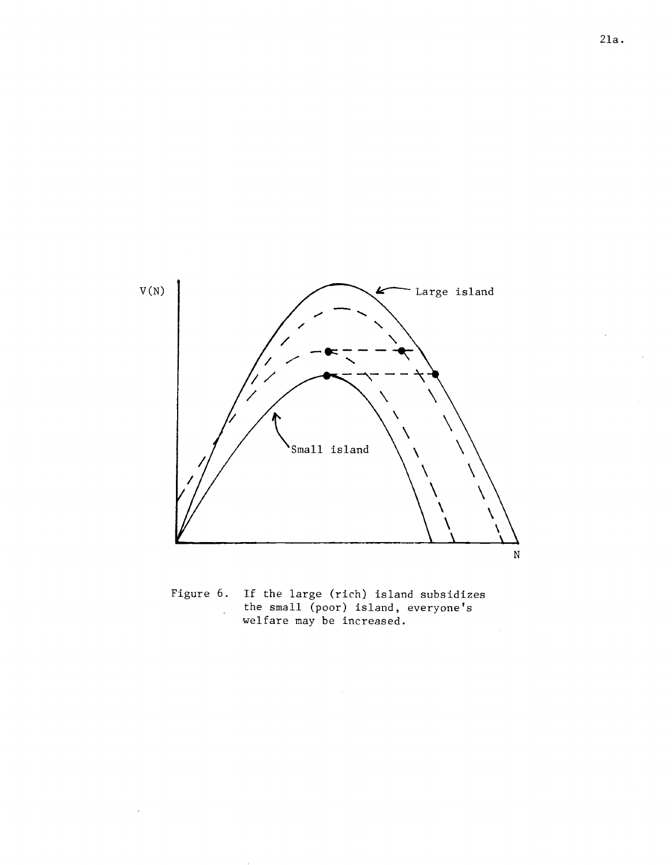

Figure 6. If the large (rich) island subsidizes the small (poor) island, everyone's welfare may be increased.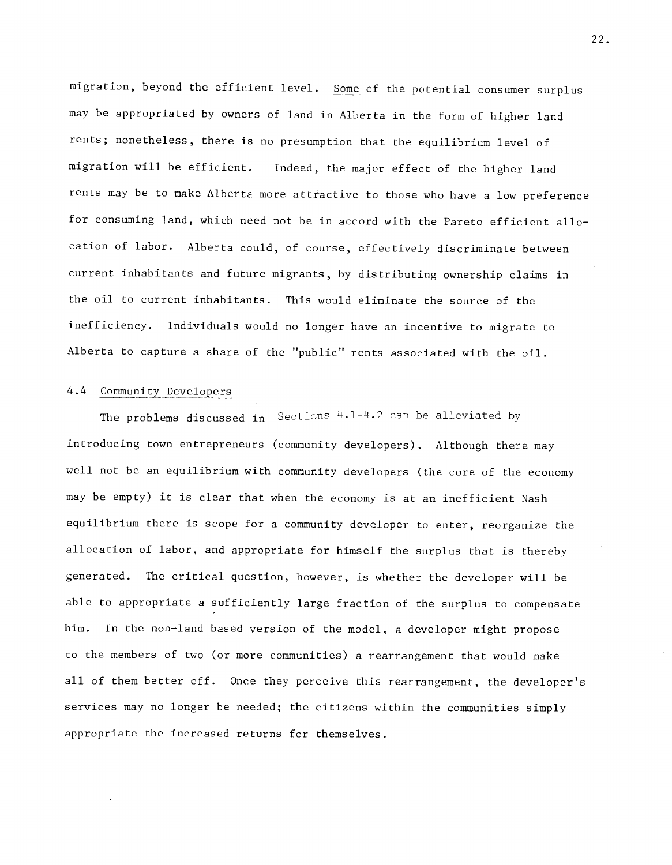migration, beyond the efficient level. Some of the potential consumer surplus may he appropriated by owners of land in Alberta in the form of higher land rents; nonetheless, there is no presumption that the equilibrium level of migration will be efficient. Indeed, the major effect of the higher land rents may be to make Alberta more attractive to those who have a low preference for consuming land, which need not be in accord with the Pareto efficient allocation of labor. Alberta could, of course, effectively discriminate between current inhabitants and future migrants, by distributing ownership claims in the oil to current inhabitants. This would eliminate the source of the inefficiency. Individuals would no longer have an incentive to migrate to Alberta to capture a share of the "public" rents associated with the oil.

#### 4.4 Community Developers

The problems discussed in Sections 4.1-4.2 can be alleviated by introducing town entrepreneurs (community developers). Although there may well not be an equilibrium with community developers (the core of the economy may be empty) it is clear that when the economy is at an inefficient Nash equilibrium there is scope for a community developer to enter, reorganize the allocation of labor, and appropriate for himself the surplus that is thereby generated. The critical question, however, is whether the developer will be able to appropriate a sufficiently large fraction of the surplus to compensate him. In the non-land based version of the model, a developer might propose to the members of two (or more communities) a rearrangement that would make all of them better off. Once they perceive this rearrangement, the developer's services may no longer be needed; the citizens within the communities simply appropriate the increased returns for themselves.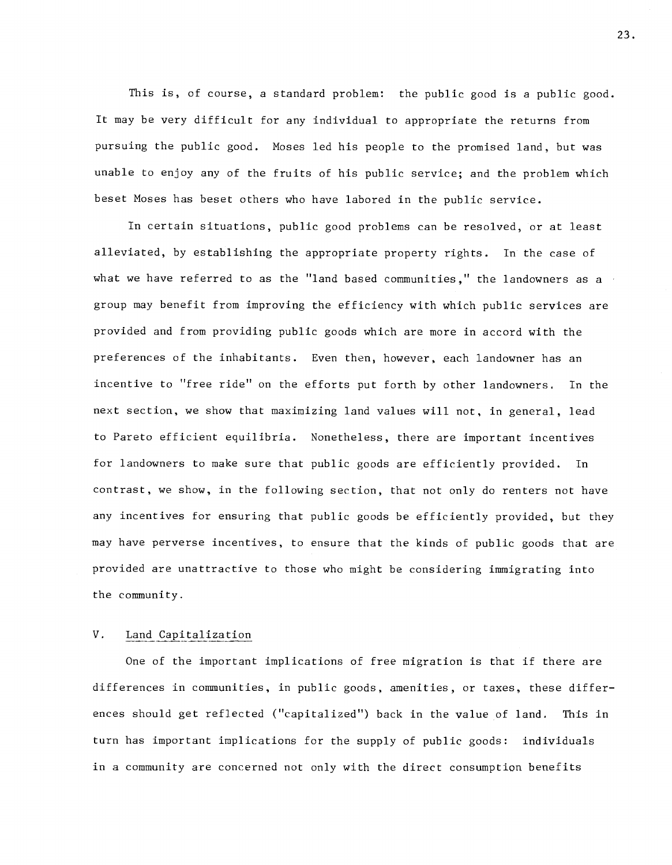This is, of course, a standard problem: the public good is a public good. It may be very difficult for any individual to appropriate the returns from pursuing the public good. Moses led his people to the promised land, but was unable to enjoy any of the fruits of his public service; and the problem which beset Moses has beset others who have labored in the public service.

In certain situations, public good problems can be resolved, or at least alleviated, by establishing the appropriate property rights. In the case of what we have referred to as the "land based communities," the landowners as a group may benefit from improving the efficiency with which public services are provided and from providing public goods which are more in accord with the preferences of the inhabitants. Even then, however, each landowner has an incentive to "free ride" on the efforts put forth by other landowners. In the next section, we show that maximizing land values will not, in general, lead to Pareto efficient equilibria. Nonetheless, there are important incentives for landowners to make sure that public goods are efficiently provided. In contrast, we show, in the following section, that not only do renters not have any incentives for ensuring that public goods be efficiently provided, but they may have perverse incentives, to ensure that the kinds of public goods that are provided are unattractive to those who might be considering immigrating into the community.

## V. Land Capitalization

One of the important implications of free migration is that if there are differences in communities, in public goods, amenities, or taxes, these differences should get reflected ("capitalized") back in the value of land. This in turn has important implications for the supply of public goods: individuals in a community are concerned not only with the direct consumption benefits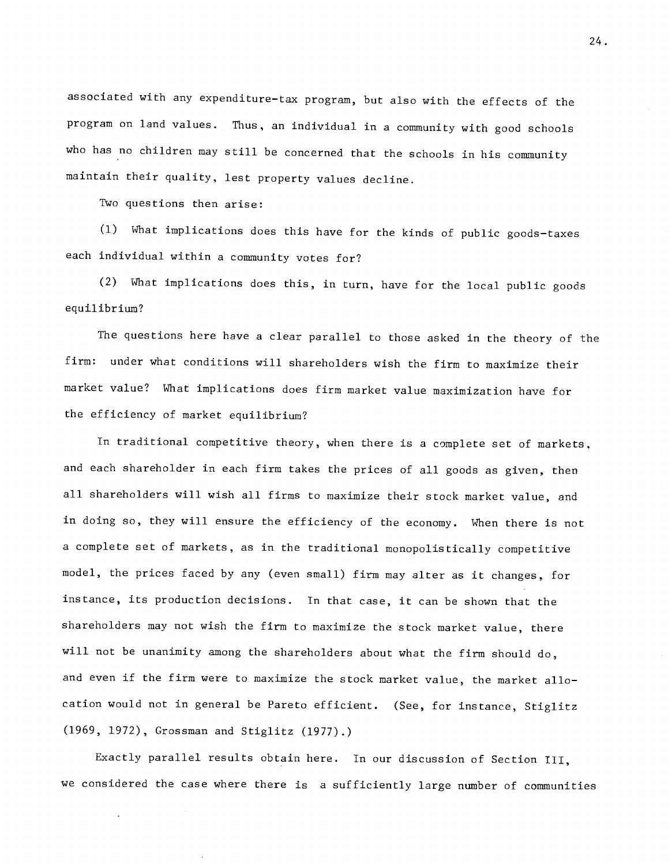associated with any expenditure—tax program, but also with the effects of the program on land values. Thus, an individual in a community with good schools who has no children may still be concerned that the schools in his community maintain their quality, lest property values decline.

Two questions then arise:

(1) What implications does this have for the kinds of public goods—taxes each individual within a community votes for?

(2) What implications does this, in turn, have for the local public goods equilibrium?

The questions here have a clear parallel to those asked in the theory of the firm: under what conditions will shareholders wish the firm to maximize their market value? What implications does firm market value maximization have for the efficiency of market equilibrium?

In traditional competitive theory, when there is a complete set of markets, and each shareholder in each firm takes the prices of all goods as given, then all shareholders will wish all firms to maximize their stock market value, and in doing so, they will ensure the efficiency of the economy. When there is not a complete set of markets, as in the traditional monopolistically competitive model, the prices faced by any (even small) firm may alter as it changes, for instance, its production decisions. In that case, it can be shown that the shareholders may not wish the firm to maximize the stock market value, there will not be unanimity among the shareholders about what the firm should do, and even if the firm were to maximize the stock market value, the market allocation would not in general be Pareto efficient. (See, for instance, Stiglitz (1969, 1972), Grossman and Stiglitz (1977).)

Exactly parallel results obtain here. In our discussion of Section III, we considered the case where there is a sufficiently large number of communities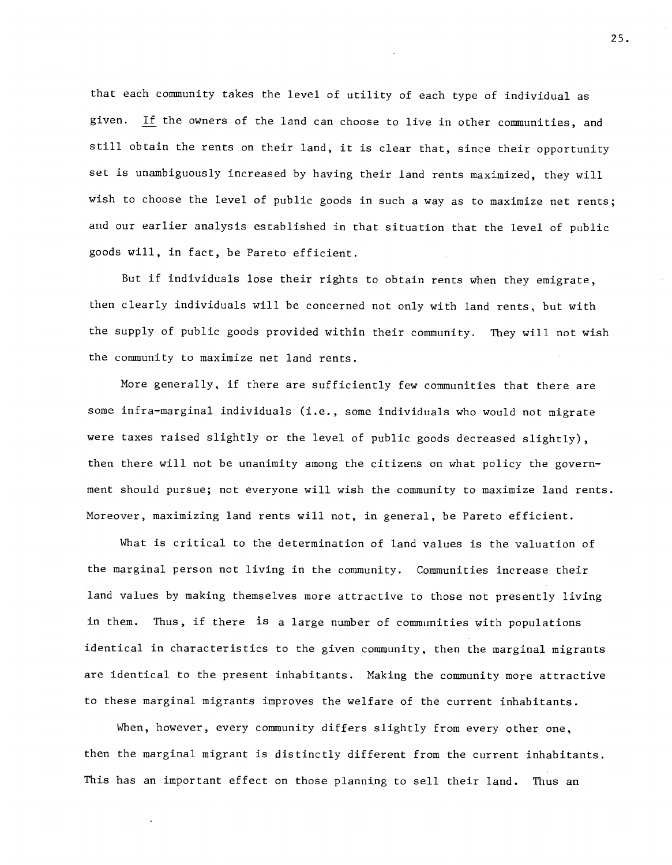that each community takes the level of utility of each type of individual as given. If the owners of the land can choose to live in other communities, and still obtain the rents on their land, it is clear that, since their opportunity set is unambiguously increased by having their land rents maximized, they will wish to choose the level of public goods in such a way as to maximize net rents; and our earlier analysis established in that situation that the level of public goods will, in fact, be Pareto efficient.

But if individuals lose their rights to obtain rents when they emigrate, then clearly individuals will be concerned not only with land rents, but with the supply of public goods provided within their community. They will not wish the community to maximize net land rents.

More generally, if there are sufficiently few communities that there are some infra—marginal individuals (i.e., some individuals who would not migrate were taxes raised slightly or the level of public goods decreased slightly), then there will not be unanimity among the citizens on what policy the government should pursue; not everyone will wish the community to maximize land rents. Moreover, maximizing land rents will not, in general, be Pareto efficient.

What is critical to the determination of land values is the valuation of the marginal person not living in the community. Communities increase their land values by making themselves more attractive to those not presently living in them. Thus, if there is a large number of communities with populations identical in characteristics to the given community, then the marginal migrants are identical to the present inhabitants. Making the community more attractive to these marginal migrants improves the welfare of the current inhabitants.

When, however, every community differs slightly from every other one, then the marginal migrant is distinctly different from the current inhabitants. This has an important effect on those planning to sell their land. Thus an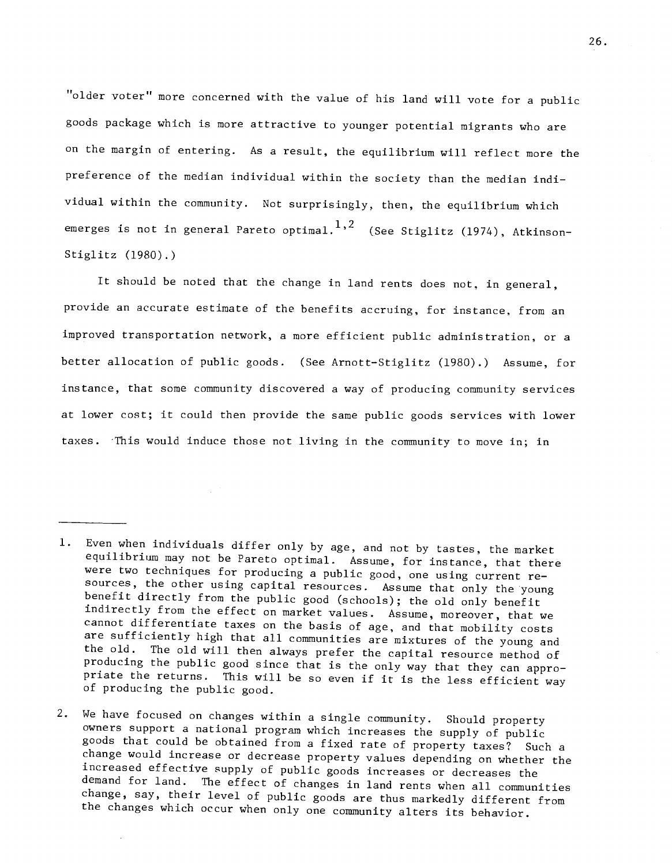"older voter" more concerned with the value of his land will vote for a public goods package which is more attractive to younger potential migrants who are on the margin of entering. As a result, the equilibrium will reflect more the preference of the median individual within the society than the median individual within the community. Not surprisingly, then, the equilibrium which emerges is not in general Pareto optimal.<sup>1,2</sup> (See Stiglitz (1974), Atkinson-Stiglitz (1980).)

It should be noted that the change in land rents does not, in general, provide an accurate estimate of the benefits accruing, for instance, from an improved transportation network, a more efficient public administration, or a better allocation of public goods. (See Arnott—Stiglitz (1980).) Assume, for instance, that some community discovered a way of producing community services at lower cost; it could then provide the same public goods services with lower taxes. This would induce those not living in the community to move in; in

<sup>1.</sup> Even when individuals differ only by age, and not by tastes, the market equilibrium may not be Pareto optimal. Assume, for instance, that there were two techniques for producing a public good, one using current re-<br>sources, the other using capital resources. Assume that only the young benefit directly from the public good (schools); the old only benefit indirectly from the effect on market values. Assume, moreover, that we cannot differentiate taxes on the basis of age, and that mobility costs the old. The old will then always prefer the capital resource method of producing the public good since that is the only way that they can appropriate the returns. This will be so even if it is the less efficient way of producing the public good.

<sup>2.</sup> We have focused on changes within a single community. Should property goods that could be obtained from a fixed rate of property taxes? Such a change would increase or decrease property values depending on whether the increased effective supply of public goods increases or decreases the demand for land. The effect of changes in land rents when all communities change, say, their level of public goods are thus markedly different from the changes which occur when only one community alters its behavior.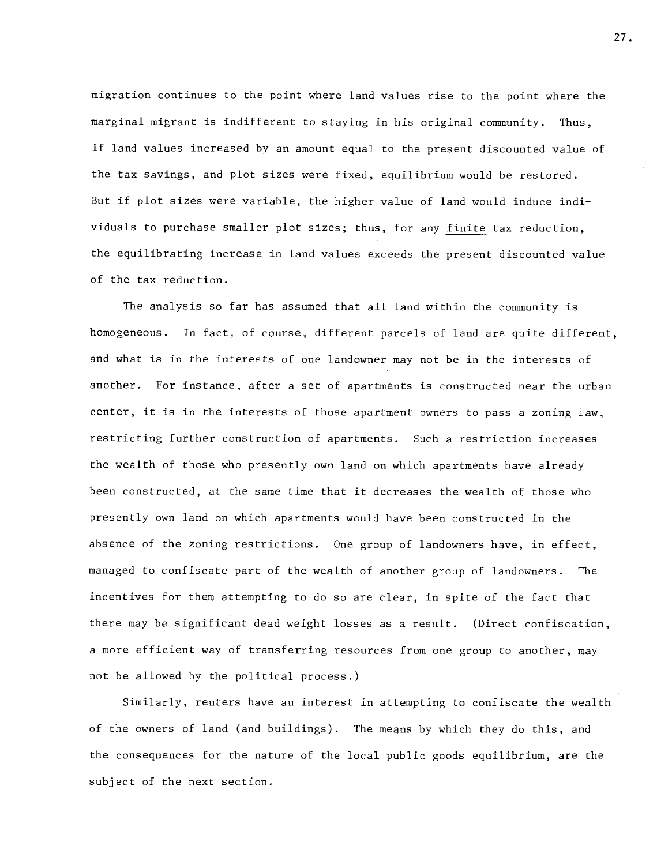migration continues to the point where land values rise to the point where the marginal migrant is indifferent to staying in his original community. Thus, if land values increased by an amount equal to the present discounted value of the tax savings, and plot sizes were fixed, equilibrium would be restored. But if plot sizes were variable, the higher value of land would induce individuals to purchase smaller plot sizes; thus, for any finite tax reduction, the equilibrating increase in land values exceeds the present discounted value of the tax reduction.

The analysis so far has assumed that all land within the community is homogeneous. In fact, of course, different parcels of land are quite different, and what is in the interests of one landowner may not be in the interests of another. For instance, after a set of apartments is constructed near the urban center, it is in the interests of those apartment owners to pass a zoning law, restricting further construction of apartments. Such a restriction increases the wealth of those who presently own land on which apartments have already been constructed, at the same time that it decreases the wealth of those who presently own land on which apartments would have been constructed in the absence of the zoning restrictions. One group of landowners have, in effect, managed to confiscate part of the wealth of another group of landowners. The incentives for them attempting to do so are clear, in spite of the fact that there may be significant dead weight losses as a result. (Direct confiscation, a more efficient way of transferring resources from one group to another, may not be allowed by the political process.)

Similarly, renters have an interest in attempting to confiscate the wealth of the owners of land (and buildings). The means by which they do this, and the consequences for the nature of the local public goods equilibrium, are the subject of the next section.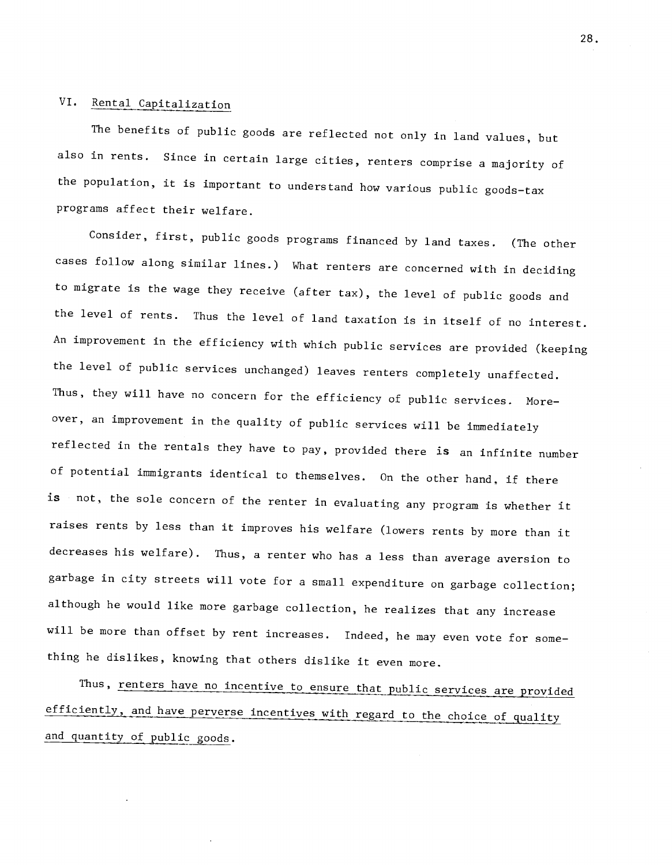## VI. Rental\_Capitalization

The benefits of public goods are reflected not only in land values, but also in rents. Since in certain large cities, renters comprise a majority of the population, it is important to understand how various public goods—tax programs affect their welfare.

Consider, first, public goods programs financed by land taxes. (The other cases follow along similar lines.) What renters are concerned with in deciding to migrate is the wage they receive (after tax), the level of public goods and the level of rents. Thus the level of land taxation is in itself of no interest. An improvement in the efficiency with which public services are provided (keeping the level of public services unchanged) leaves renters completely unaffected. Thus, they will have no concern for the efficiency of public services. Moreover, an improvement in the quality of public services will be immediately reflected in the rentals they have to pay, provided there is an infinite number of potential immigrants identical to themselves. On the other hand, if there is not, the sole concern of the renter in evaluating any program is whether it raises rents by less than it improves his welfare (lowers rents by more than it decreases his welfare). Thus, a renter who has a less than average aversion to garbage in city streets will vote for a small expenditure on garbage collection; although he would like more garbage collection, he realizes that any increase will be more than offset by rent increases. Indeed, he may even vote for something he dislikes, knowing that others dislike it even more.

Thus, renters have no incentive to ensure that public services are provided efficiently, and have perverse incentives with regard to the choice of quality and quantity of public goods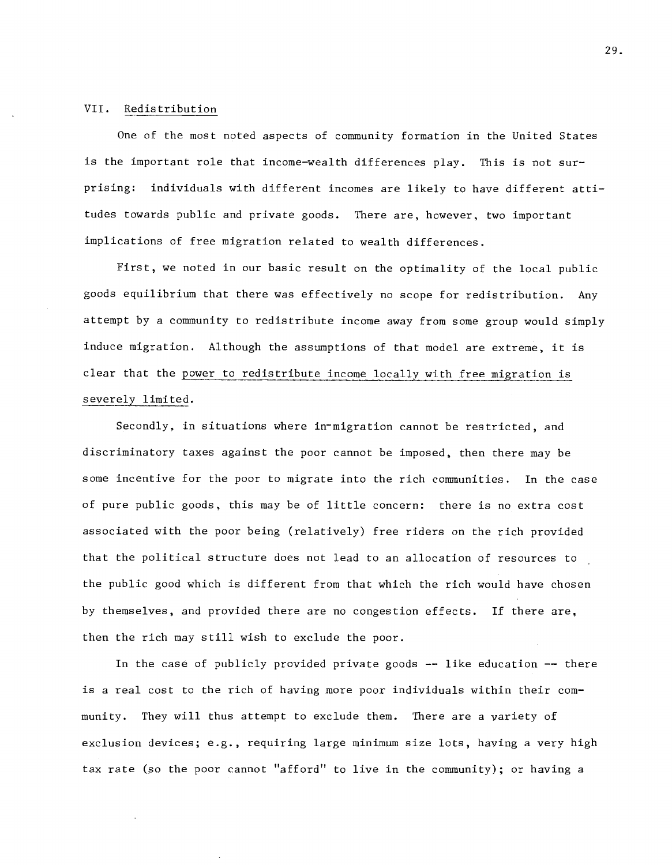#### VII. Redistribution

One of the most noted aspects of community formation in the United States is the important role that income-wealth differences play. This is not surprising: individuals with different incomes are likely to have different attitudes towards public and private goods. There are, however, two important implications of free migration related to wealth differences.

First, we noted in our basic result on the optimality of the local public goods equilibrium that there was effectively no scope for redistribution. Any attempt by a community to redistribute income away from some group would simply induce migration. Although the assumptions of that model are extreme, it is clear that the power to redistribute income locally with free migration is severely limited.

Secondly, in situations where in-migration cannot be restricted, and discriminatory taxes against the poor cannot be imposed, then there may be some incentive for the poor to migrate into the rich communities. In the case of pure public goods, this may be of little concern: there is no extra cost associated with the poor being (relatively) free riders on the rich provided that the political structure does not lead to an allocation of resources to the public good which is different from that which the rich would have chosen by themselves, and provided there are no congestion effects. If there are, then the rich may still wish to exclude the poor.

In the case of publicly provided private goods  $-$  like education  $-$  there is a real cost to the rich of having more poor individuals within their community. They will thus attempt to exclude them. There are a variety of exclusion devices; e.g., requiring large minimum size lots, having a very high tax rate (so the poor cannot "afford" to live in the community); or having a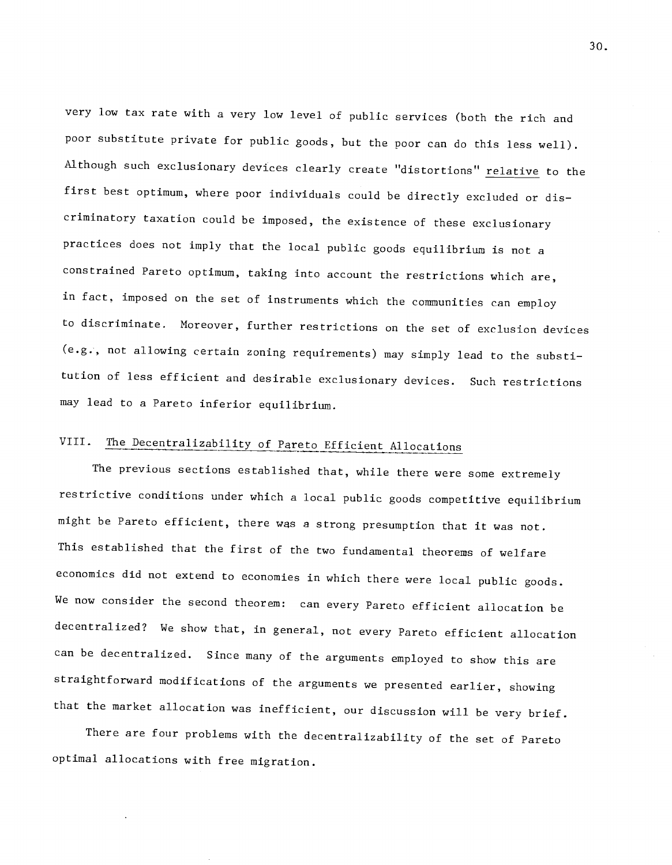very low tax rate with a very low level of public services (both the rich and poor substitute private for public goods, but the poor can do this less well). Although such exclusionary devices clearly create "distortions" relative to the first best optimum, where poor individuals could be directly excluded or discriminatory taxation could be imposed, the existence of these exclusionary practices does not imply that the local public goods equilibrium is not a constrained Pareto optimum, taking into account the restrictions which are, in fact, imposed on the set of instruments which the communities can employ to discriminate. Moreover, further restrictions on the set of exclusion devices (e.g., not allowing certain zoning requirements) may simply lead to the substitution of less efficient and desirable exclusionary devices. Such restrictions may lead to a Pareto inferior equilibrium.

## VIII. The Decentralizability of Pareto Efficient Allocations

The previous sections established that, while there were some extremely restrictive conditions under which a local public goods competitive equilibrium might be Pareto efficient, there was a strong presumption that it was not. This established that the first of the two fundamental theorems of welfare economics did not extend to economies in which there were local public goods. We now consider the second theorem: can every Pareto efficient allocation be decentralized? We show that, in general, not every Pareto efficient allocation can be decentralized. Since many of the arguments employed to show this are straightforward modifications of the arguments we presented earlier, showing that the market allocation was inefficient, our discussion will be very brief.

There are four problems with the decentralizability of the set of Pareto optimal allocations with free migration.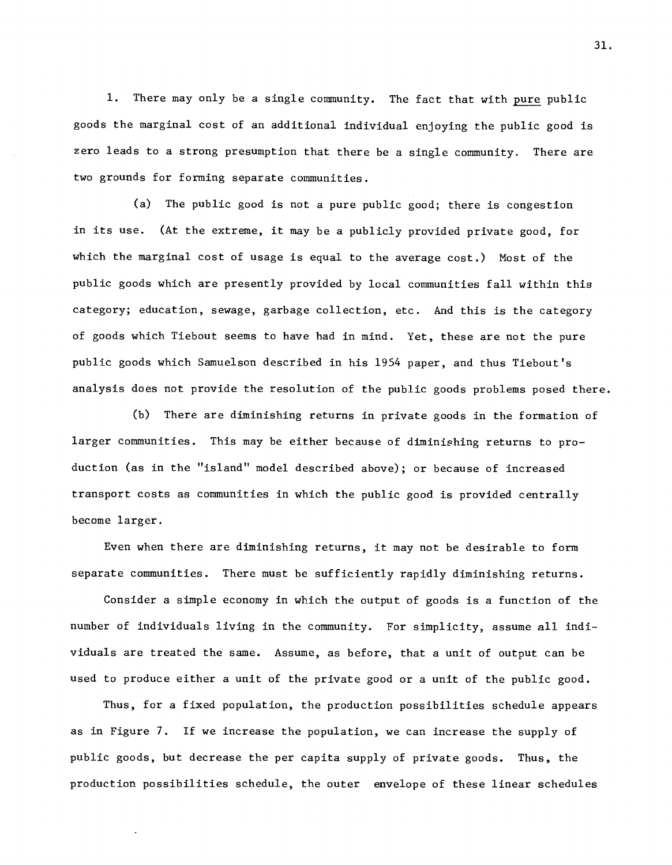1. There may only be a single community. The fact that with pure public goods the marginal cost of an additional individual enjoying the public good is zero leads to a strong presumption that there be a single community. There are two grounds for forming separate communities.

(a) The public good is not a pure public good; there is congestion in its use. (At the extreme, it may be a publicly provided private good, for which the marginal cost of usage is equal to the average cost.) Most of the public goods which are presently provided by local communities fall within this category; education, sewage, garbage collection, etc. And this is the category of goods which Tiebout seems to have had in mind. Yet, these are not the pure public goods which Samuelson described in his 1954 paper, and thus Tiebout's analysis does not provide the resolution of the public goods problems posed there.

(b) There are diminishing returns in private goods in the formation of larger communities. This may be either because of diminishing returns to production (as in the "island" model described above); or because of increased transport costs as communities in which the public good is provided centrally become larger.

Even when there are diminishing returns, it may not be desirable to form separate communities. There must be sufficiently rapidly diminishing returns.

Consider a simple economy in which the output of goods is a function of the number of individuals living in the community. For simplicity, assume all individuals are treated the same. Assume, as before, that a unit of output can be used to produce either a unit of the private good or a unit of the public good.

Thus, for a fixed population, the production possibilities schedule appears as in Figure 7. If we increase the population, we can increase the supply of public goods, but decrease the per capita supply of private goods. Thus, the production possibilities schedule, the outer envelope of these linear schedules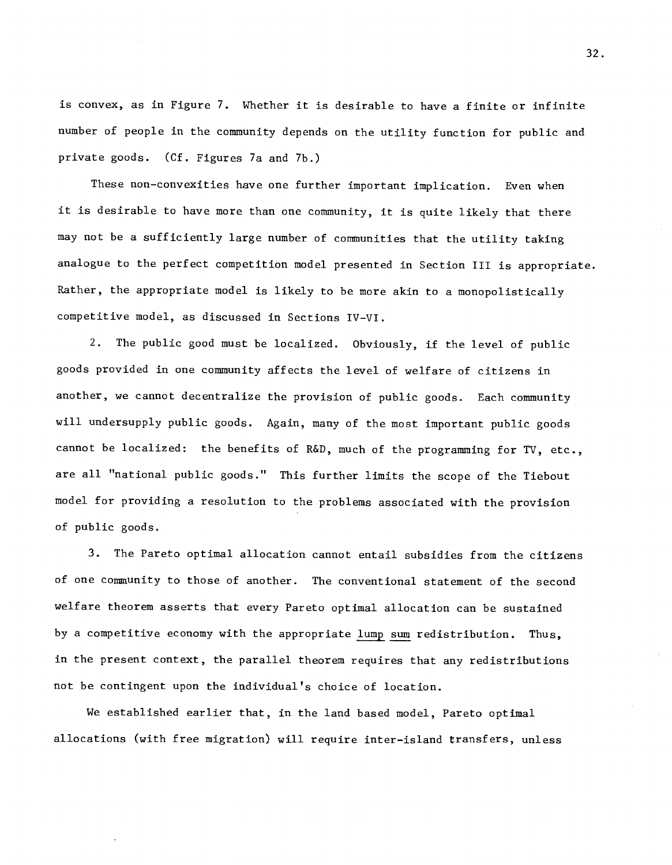is convex, as in Figure 7. Whether it is desirable to have a finite or infinite number of people in the community depends on the utility function for public and private goods. (Cf. Figures 7a and 7b.)

These non—convexities have one further important implication. Even when it is desirable to have more than one community, it is quite likely that there may not be a sufficiently large number of communities that the utility taking analogue to the perfect competition model presented in Section III is appropriate. Rather, the appropriate model is likely to be more akin to a monopolistically competitive model, as discussed in Sections IV—VI.

2. The public good must be localized. Obviously, if the level of public goods provided in one community affects the level of welfare of citizens in another, we cannot decentralize the provision of public goods. Each community will undersupply public goods. Again, many of the most important public goods cannot be localized: the benefits of R&D, much of the programming for TV, etc., are all "national public goods." This further limits the scope of the Tiebout model for providing a resolution to the problems associated with the provision of public goods.

3. The Pareto optimal allocation cannot entail subsidies from the citizens of one community to those of another. The conventional statement of the second welfare theorem asserts that every Pareto optimal allocation can be sustained by a competitive economy with the appropriate lump sum redistribution. Thus, in the present context, the parallel theorem requires that any redistributions not be contingent upon the individual's choice of location.

We established earlier that, in the land based model, Pareto optimal allocations (with free migration) will require inter—island transfers, unless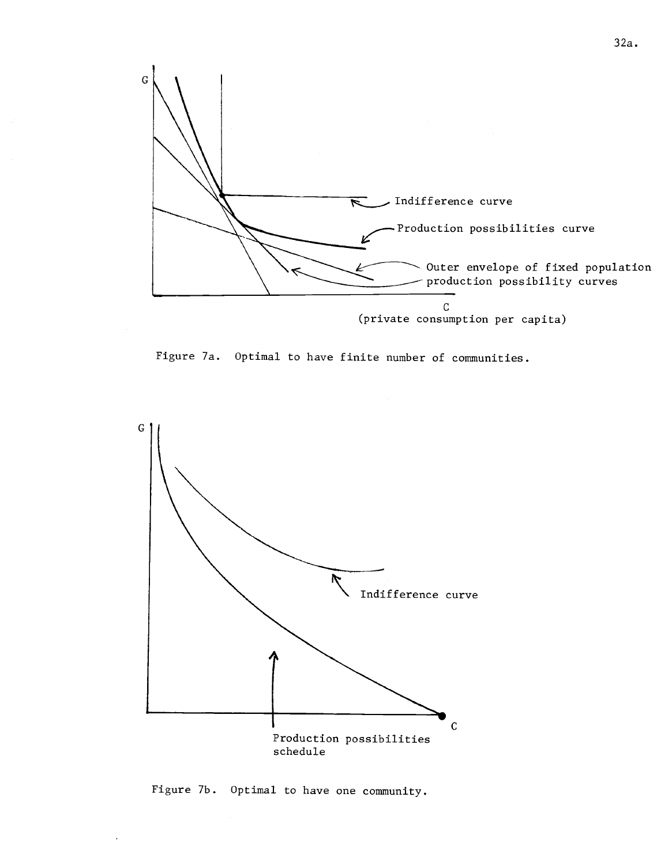

Figure 7a. Optimal to have finite number of communities.



Figure 7b. Optimal to have one community.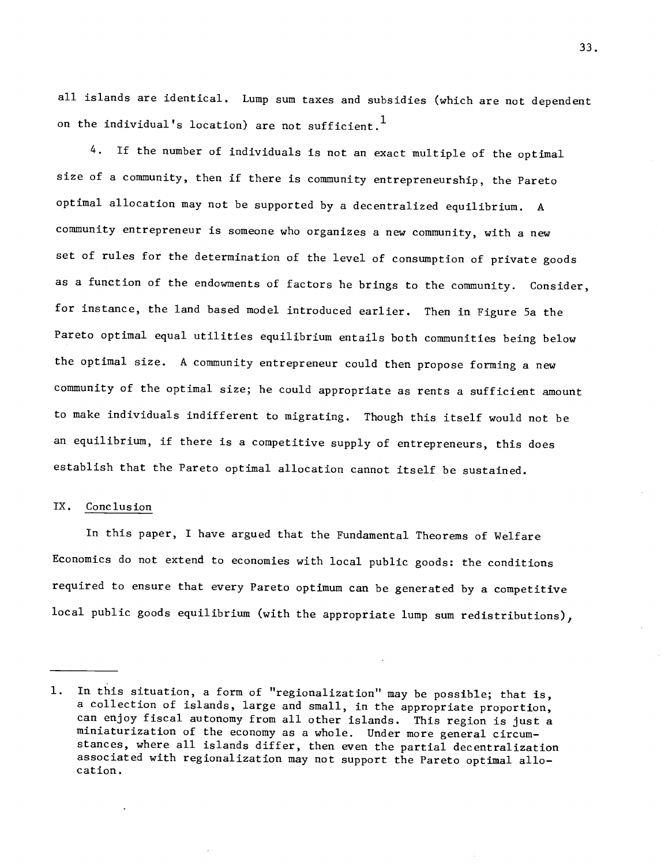all islands are identical. Lump sum taxes and subsidies (which are not dependent on the individual's location) are not sufficient.

4. If the number of individuals is not an exact multiple of the optimal size of a community, then if there is community entrepreneurship, the Pareto optimal allocation may not be supported by a decentralized equilibrium. A community entrepreneur is someone who organizes a new community, with a new set of rules for the determination of the level of consumption of private goods as a function of the endowments of factors he brings to the community. Consider, for instance, the land based model introduced earlier. Then in Figure 5a the Pareto optimal equal utilities equilibrium entails both communities being below the optimal size. A community entrepreneur could then propose forming a new community of the optimal size; he could appropriate as rents a sufficient amount to make individuals indifferent to migrating. Though this itself would not be an equilibrium, if there is a competitive supply of entrepreneurs, this does establish that the Pareto optimal allocation cannot itself be sustained.

#### IX. Conclusion

In this paper, I have argued that the Fundamental Theorems of Welfare Economics do not extend to economies with local public goods: the conditions required to ensure that every Pareto optimum can be generated by a competitive local public goods equilibrium (with the appropriate lump sum redistributions),

<sup>1.</sup> In this situation, a form of "regionalization" may be possible; that is, a collection of islands, large and small, in the appropriate proportion, can enjoy fiscal autonomy from all other islands. This region is just a miniaturization of the economy as a whole. Under more general circumstances, where all islands differ, then even the partial decentralization associated with regionalization may not support the Pareto optimal allocation.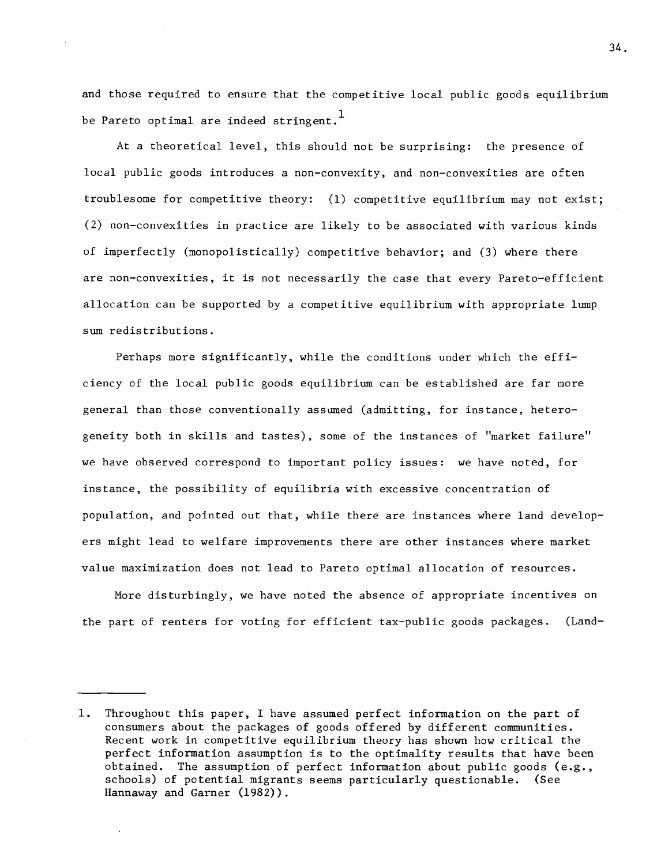and those required to ensure that the competitive local public goods equilibrium be Pareto optimal are indeed stringent.<sup>1</sup>

At a theoretical level, this should not be surprising: the presence of local public goods introduces a non—convexity, and non—convexities are often troublesome for competitive theory: (1) competitive equilibrium may not exist; (2) non—convexities in practice are likely to be associated with various kinds of imperfectly (monopolistically) competitive behavior; and (3) where there are non-convexities, it is not necessarily the case that every Pareto-efficient allocation can be supported by a competitive equilibrium with appropriate lump sum redistributions.

Perhaps more significantly, while the conditions under which the efficiency of the local public goods equilibrium can be established are far more general than those conventionally assumed (admitting, for instance, heterogeneity both in skills and tastes), some of the instances of "market failure" we have observed correspond to important policy issues: we have noted, for instance, the possibility of equilibria with excessive concentration of population, and pointed out that, while there are instances where land developers might lead to welfare improvements there are other instances where market value maximization does not lead to Pareto optimal allocation of resources.

More disturbingly, we have noted the absence of appropriate incentives on the part of renters for voting for efficient tax-public goods packages. (Land-

<sup>1.</sup> Throughout this paper, I have assumed perfect information on the part of consumers about the packages of goods offered by different communities. Recent work in competitive equilibrium theory has shown how critical the perfect information assumption is to the optimality results that have been obtained. The assumption of perfect information about public goods (e.g., schools) of potential migrants seems particularly questionable. (See Hannaway and Garner (1982)).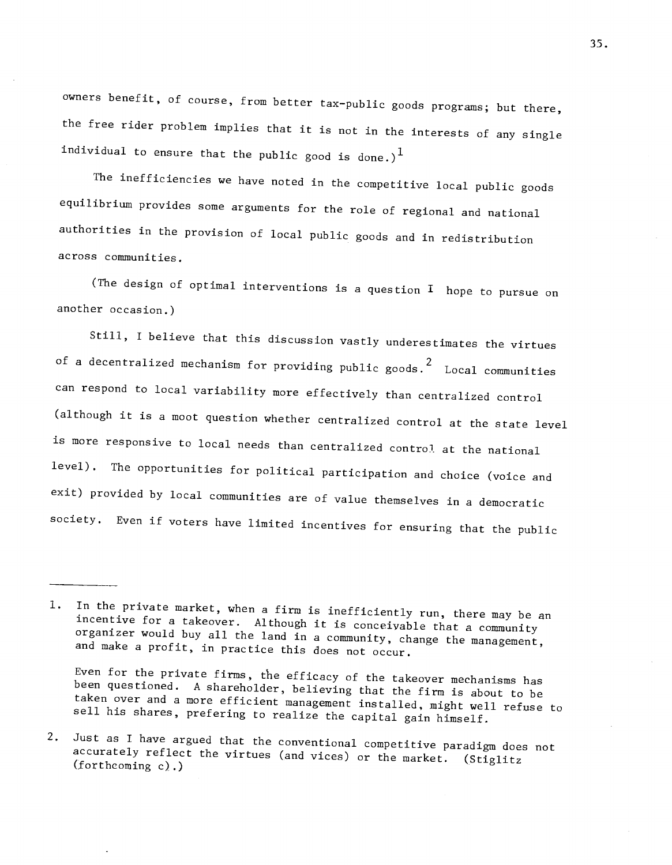owners benefit, of course, from better tax—public goods programs; but there, the free rider problem implies that it is not in the interests of any single individual to ensure that the public good is done.)<sup>1</sup>

The inefficiencies we have noted in the competitive local public goods equilibrium provides some arguments for the role of regional and national authorities in the provision of local public goods and in redistribution across Communities.

(The design of optimal interventions is a question I hope to pursue on another occasion.)

Still, I believe that this discussion vastly underestimates the virtues of a decentralized mechanism for providing public goods.<sup>2</sup> Local communities can respond to local variability more effectively than centralized control (although it is a moot question whether centralized control at the state level is more responsive to local needs than centralized control at the national level). The opportunities for political participation and choice (voice and exit) provided by local communities are of value themselves in a democratic society. Even if voters have limited incentives for ensuring that the public

Even for the private firms, the efficacy of the takeover mechanisms has been questioned. A shareholder, believing that the firm is about to be taken over and a more efficient management installed, might well refuse to sell his shares, prefering to realize the capital gain himself.

<sup>1.</sup> In the private market, when a firm is inefficiently run, there may be an incentive for a takeover. Although it is conceivable that a community organizer would buy all the land in a community, change the management, and make a profit, in practice this does not occur.

<sup>2.</sup> Just as I have argued that the conventional competitive paradigm does not accurately reflect the virtues (and vices) or the market. (Stiglitz (forthcoming c).)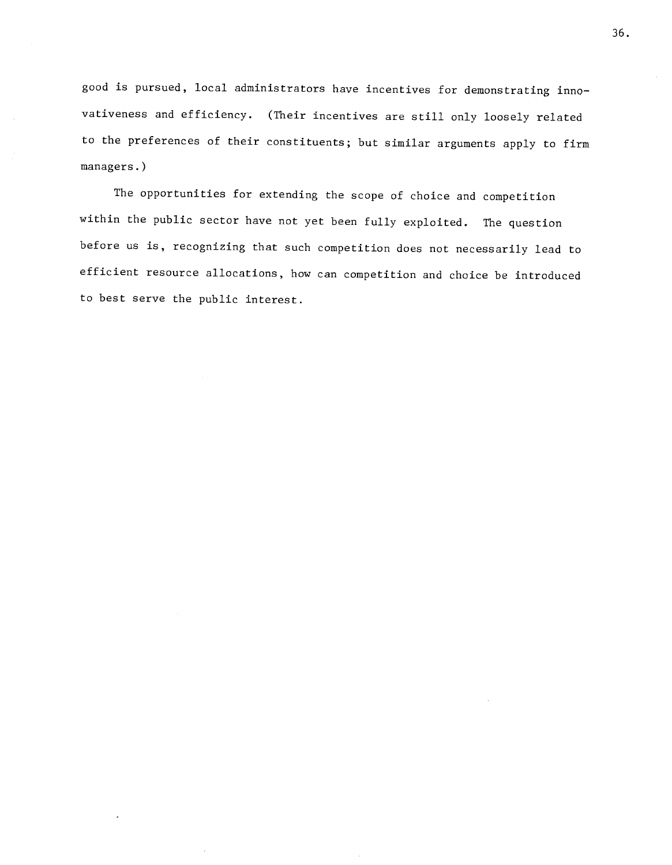good is pursued, local administrators have incentives for demonstrating inno vativeness and efficiency. (Their incentives are still only loosely related to the preferences of their constituents; but similar arguments apply to firm managers.)

The opportunities for extending the scope of choice and competition within the public sector have not yet been fully exploited. The question before us is, recognizing that such competition does not necessarily lead to efficient resource allocations, how can competition and choice be introduced to best serve the public interest.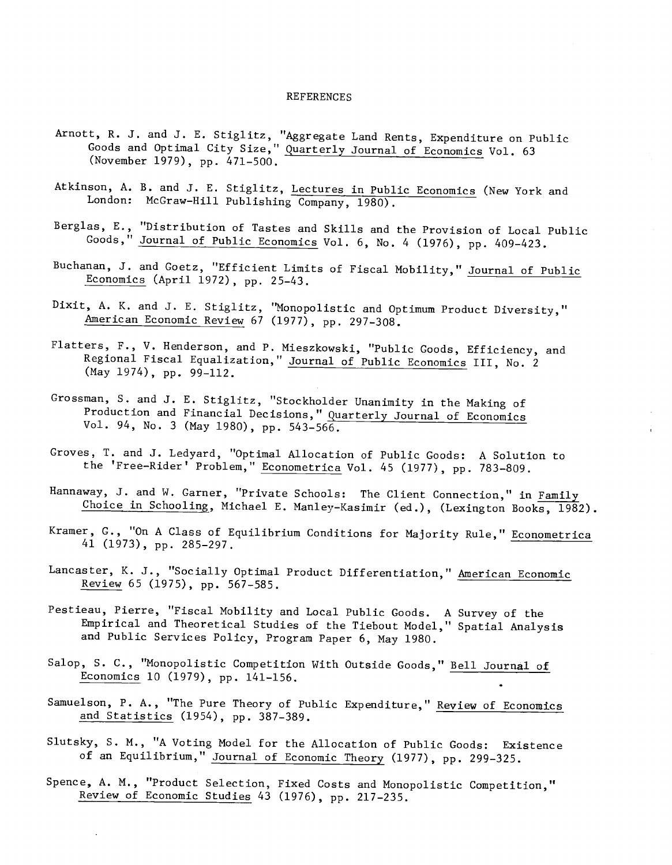### REFERENCES

- Arnott, R. J. and J. E. Stiglitz, "Aggregate Land Rents, Expenditure on Public Goods and Optimal City Size," Quarterly Journal of Economics Vol. 63 (November 1979), PP. 471—500.
- Atkinson, A. B. and J. E. Stiglitz, Lectures in Public Economics (New York and London: McGraw-Hill Publishing Company, 1980).
- Bergias, E., "Distribution of Tastes and Skills and the Provision of Local Public Goods," Journal of Public Economics Vol. 6, No. 4 (1976), pp. 409—423.
- Buchanan, J. and Goetz, "Efficient Limits of Fiscal Mobility," Journal of Public Economics (April 1972), pp. 25—43.
- Dixit, A. K. and J. E. Stiglitz, "Monopolistic and Optimum Product Diversity," American Economic Review 67 (1977), pp. 297-308.
- Flatters, F., V. Henderson, and P. Mieszkowski, "Public Goods, Efficiency, and Regional Fiscal Equalization," Journal of Public Economics III, No. 2 (May 1974), pp. 99—112.
- Grossman, S. and J. E. Stiglitz, "Stockholder Unanimity in the Making of Production and Financial Decisions," Quarterly Journal of Economics Vol. 94, No. 3 (May 1980), pp. 543-566.
- Groves, T. and J. Ledyard, "Optimal Allocation of Public Goods: A Solution to the 'Free—Rider' Problem," Econometrica Vol. 45 (1977), pp. 783—809.
- Hannaway, J. and W. Garner, "Private Schools: The Client Connection," in Family Choice in Schooling, Michael E. Manley-Kasimir (ed.), (Lexington Books, 1982).
- Kramer, G., "On A Class of Equilibrium Conditions for Majority Rule," Econometrica 41 (1973), pp. 285—297.
- Lancaster, K. J., "Socially Optimal Product Differentiation," American Economic Review 65 (1975), pp. 567—585.
- Pestieau, Pierre, "Fiscal Mobility and Local Public Goods. A Survey of the Empirical and Theoretical Studies of the Tiebout Model," Spatial Analysis and Public Services Policy, Program Paper 6, May 1980.
- Salop, S. C., "Monopolistic Competition With Outside Goods," Bell Journal of Economics 10 (1979), pp. 141—156.
- Samuelson, P. A., "The Pure Theory of Public Expenditure," Review of Economics and Statistics (1954), pp. 387—389.
- Slutsky, S. M., "A Voting Model for the Allocation of Public Goods: Existence of an Equilibrium," Journal of Economic Theory (1977), pp. 299—325.
- Spence, A. N., "Product Selection, Fixed Costs and Monopolistic Competition," Review of Economic Studies 43 (1976), pp. 217—235.